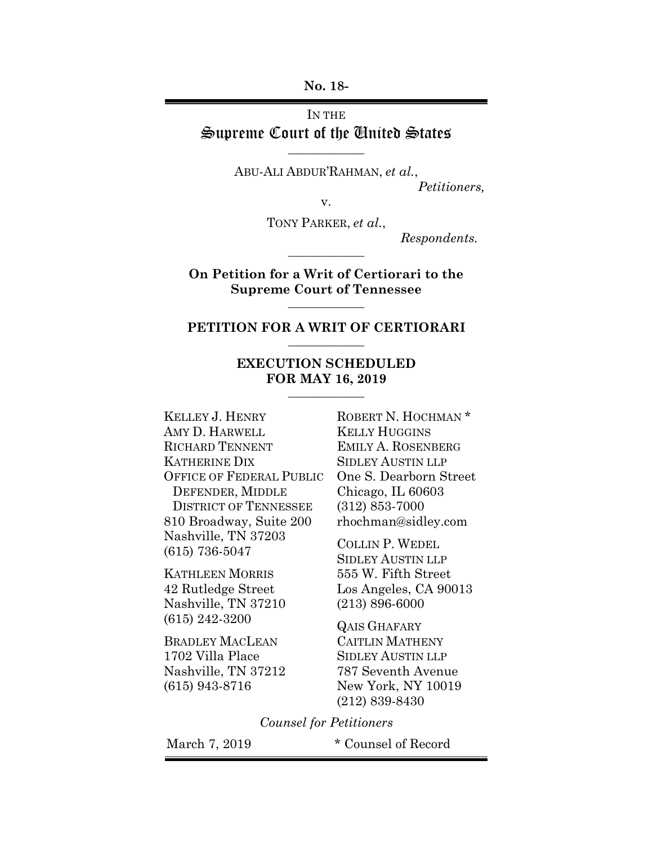**No. 18-** 

## IN THE Supreme Court of the United States

**\_\_\_\_\_\_\_\_\_\_\_\_\_** 

ABU-ALI ABDUR'RAHMAN, *et al.*,  *Petitioners,* 

v.

TONY PARKER, *et al.*,

 *Respondents.* 

**On Petition for a Writ of Certiorari to the Supreme Court of Tennessee \_\_\_\_\_\_\_\_\_\_\_\_\_** 

**\_\_\_\_\_\_\_\_\_\_\_\_\_** 

### **PETITION FOR A WRIT OF CERTIORARI \_\_\_\_\_\_\_\_\_\_\_\_\_**

### **EXECUTION SCHEDULED FOR MAY 16, 2019 \_\_\_\_\_\_\_\_\_\_\_\_\_**

KELLEY J. HENRY AMY D. HARWELL RICHARD TENNENT KATHERINE DIX OFFICE OF FEDERAL PUBLIC DEFENDER, MIDDLE DISTRICT OF TENNESSEE 810 Broadway, Suite 200 Nashville, TN 37203 (615) 736-5047

KATHLEEN MORRIS 42 Rutledge Street Nashville, TN 37210 (615) 242-3200

BRADLEY MACLEAN 1702 Villa Place Nashville, TN 37212 (615) 943-8716

ROBERT N. HOCHMAN<sup>\*</sup> KELLY HUGGINS EMILY A. ROSENBERG SIDLEY AUSTIN LLP One S. Dearborn Street Chicago, IL 60603 (312) 853-7000 rhochman@sidley.com

COLLIN P. WEDEL SIDLEY AUSTIN LLP 555 W. Fifth Street Los Angeles, CA 90013 (213) 896-6000

QAIS GHAFARY CAITLIN MATHENY SIDLEY AUSTIN LLP 787 Seventh Avenue New York, NY 10019 (212) 839-8430

*Counsel for Petitioners* 

March 7, 2019 \* Counsel of Record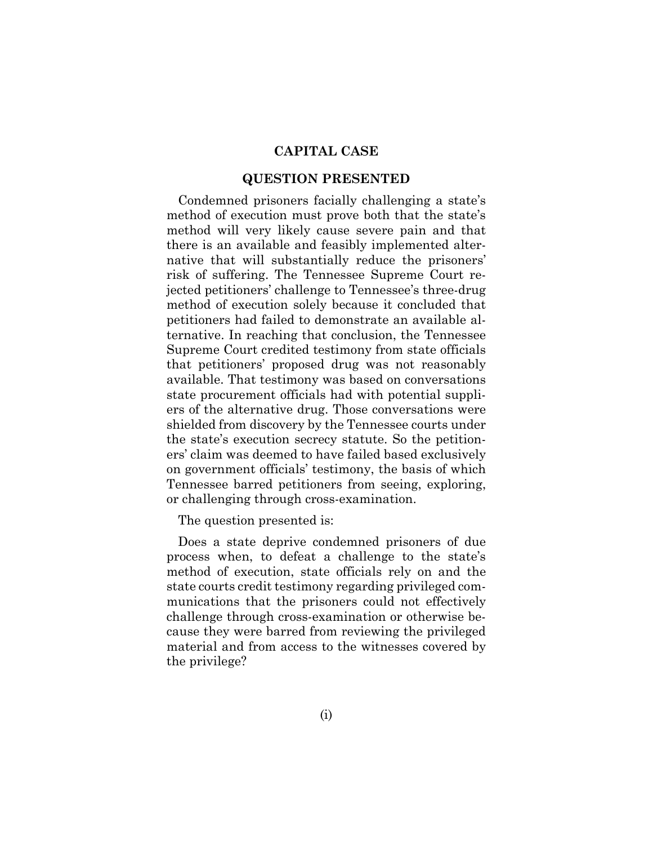### **CAPITAL CASE**

### **QUESTION PRESENTED**

Condemned prisoners facially challenging a state's method of execution must prove both that the state's method will very likely cause severe pain and that there is an available and feasibly implemented alternative that will substantially reduce the prisoners' risk of suffering. The Tennessee Supreme Court rejected petitioners' challenge to Tennessee's three-drug method of execution solely because it concluded that petitioners had failed to demonstrate an available alternative. In reaching that conclusion, the Tennessee Supreme Court credited testimony from state officials that petitioners' proposed drug was not reasonably available. That testimony was based on conversations state procurement officials had with potential suppliers of the alternative drug. Those conversations were shielded from discovery by the Tennessee courts under the state's execution secrecy statute. So the petitioners' claim was deemed to have failed based exclusively on government officials' testimony, the basis of which Tennessee barred petitioners from seeing, exploring, or challenging through cross-examination.

The question presented is:

Does a state deprive condemned prisoners of due process when, to defeat a challenge to the state's method of execution, state officials rely on and the state courts credit testimony regarding privileged communications that the prisoners could not effectively challenge through cross-examination or otherwise because they were barred from reviewing the privileged material and from access to the witnesses covered by the privilege?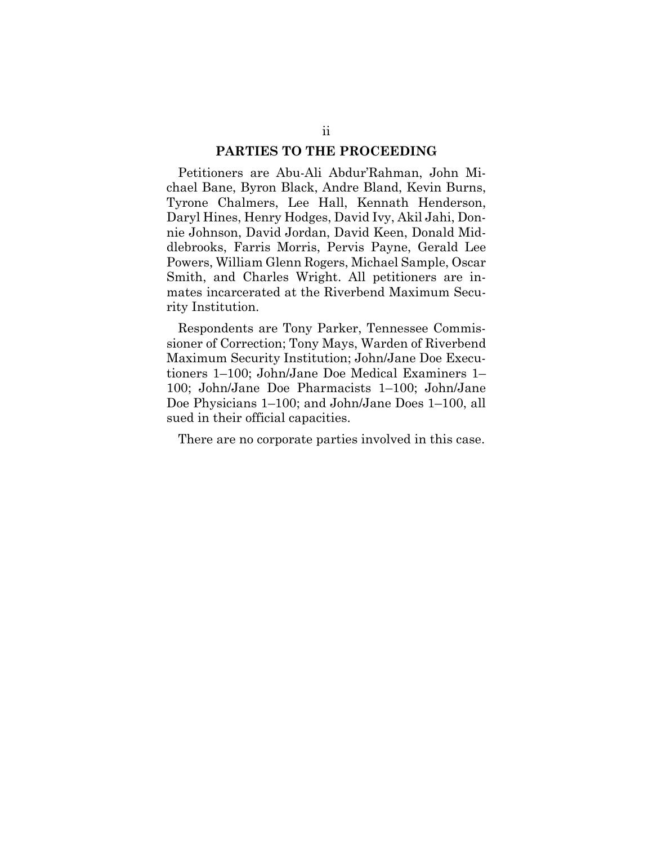### **PARTIES TO THE PROCEEDING**

Petitioners are Abu-Ali Abdur'Rahman, John Michael Bane, Byron Black, Andre Bland, Kevin Burns, Tyrone Chalmers, Lee Hall, Kennath Henderson, Daryl Hines, Henry Hodges, David Ivy, Akil Jahi, Donnie Johnson, David Jordan, David Keen, Donald Middlebrooks, Farris Morris, Pervis Payne, Gerald Lee Powers, William Glenn Rogers, Michael Sample, Oscar Smith, and Charles Wright. All petitioners are inmates incarcerated at the Riverbend Maximum Security Institution.

Respondents are Tony Parker, Tennessee Commissioner of Correction; Tony Mays, Warden of Riverbend Maximum Security Institution; John/Jane Doe Executioners 1–100; John/Jane Doe Medical Examiners 1– 100; John/Jane Doe Pharmacists 1–100; John/Jane Doe Physicians 1–100; and John/Jane Does 1–100, all sued in their official capacities.

There are no corporate parties involved in this case.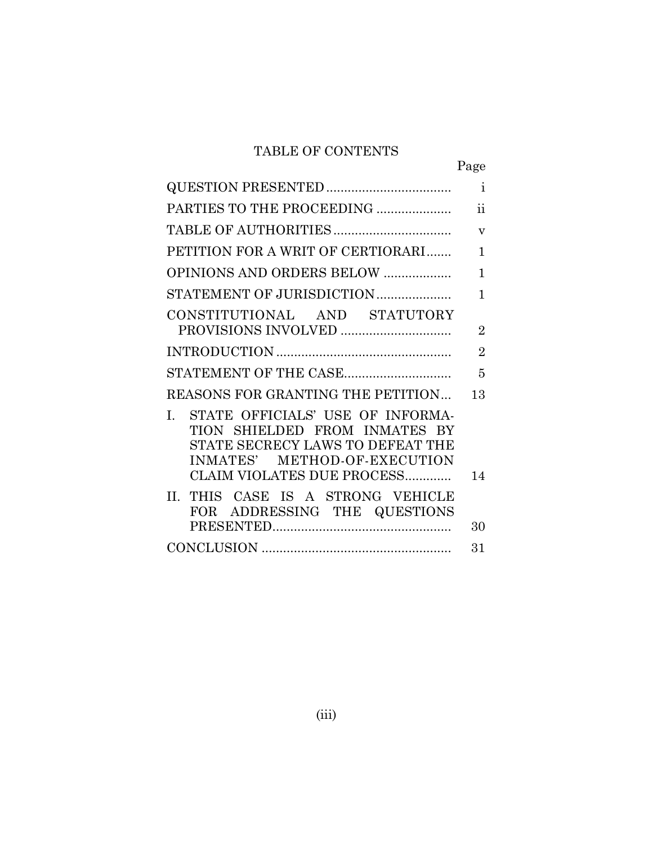## TABLE OF CONTENTS

|                                                                                                                                                                           | Page                    |
|---------------------------------------------------------------------------------------------------------------------------------------------------------------------------|-------------------------|
|                                                                                                                                                                           | $\mathbf{i}$            |
| PARTIES TO THE PROCEEDING                                                                                                                                                 | $\ddot{\text{ii}}$      |
|                                                                                                                                                                           | $\overline{\mathbf{V}}$ |
| PETITION FOR A WRIT OF CERTIORARI                                                                                                                                         | $\mathbf{1}$            |
| <b>OPINIONS AND ORDERS BELOW </b>                                                                                                                                         | $\mathbf{1}$            |
| STATEMENT OF JURISDICTION                                                                                                                                                 | $\mathbf{1}$            |
| CONSTITUTIONAL AND STATUTORY                                                                                                                                              | $\overline{2}$          |
|                                                                                                                                                                           | $\overline{2}$          |
|                                                                                                                                                                           | 5                       |
| REASONS FOR GRANTING THE PETITION                                                                                                                                         | 13                      |
| STATE OFFICIALS' USE OF INFORMA-<br>L.<br>TION SHIELDED FROM INMATES BY<br>STATE SECRECY LAWS TO DEFEAT THE<br>INMATES' METHOD-OF-EXECUTION<br>CLAIM VIOLATES DUE PROCESS | 14                      |
| II. THIS CASE IS A STRONG VEHICLE<br>FOR ADDRESSING THE QUESTIONS                                                                                                         | 30                      |
|                                                                                                                                                                           | 31                      |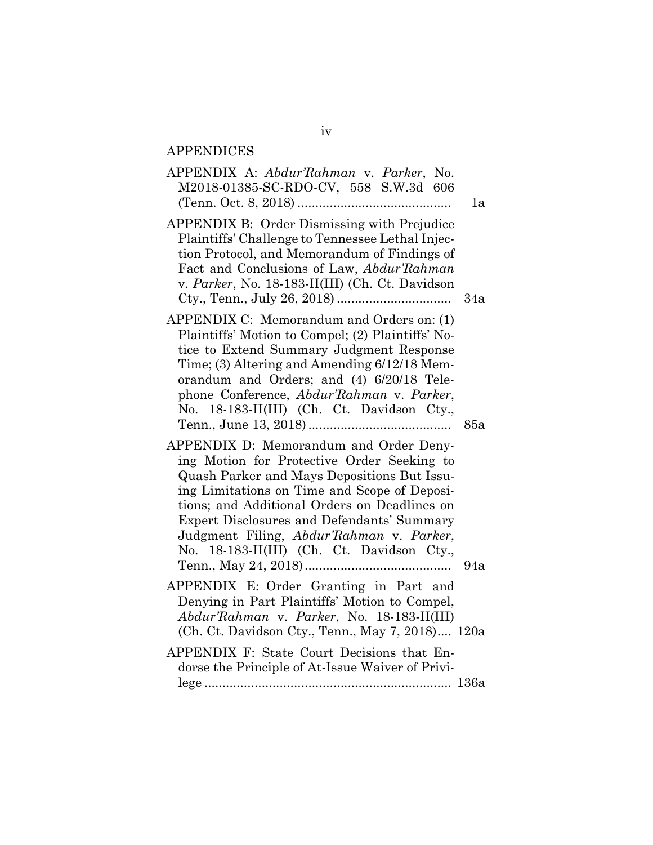# APPENDICES

| APPENDIX A: Abdur'Rahman v. Parker, No.<br>M2018-01385-SC-RDO-CV, 558 S.W.3d 606                                                                                                                                                                                                                                                                                                   | 1a  |
|------------------------------------------------------------------------------------------------------------------------------------------------------------------------------------------------------------------------------------------------------------------------------------------------------------------------------------------------------------------------------------|-----|
| APPENDIX B: Order Dismissing with Prejudice<br>Plaintiffs' Challenge to Tennessee Lethal Injec-<br>tion Protocol, and Memorandum of Findings of<br>Fact and Conclusions of Law, Abdur'Rahman<br>v. Parker, No. 18-183-II(III) (Ch. Ct. Davidson                                                                                                                                    | 34a |
| APPENDIX C: Memorandum and Orders on: (1)<br>Plaintiffs' Motion to Compel; (2) Plaintiffs' No-<br>tice to Extend Summary Judgment Response<br>Time; (3) Altering and Amending 6/12/18 Mem-<br>orandum and Orders; and (4) 6/20/18 Tele-<br>phone Conference, Abdur'Rahman v. Parker,<br>No. 18-183-II(III) (Ch. Ct. Davidson Cty.,                                                 | 85a |
| APPENDIX D: Memorandum and Order Deny-<br>ing Motion for Protective Order Seeking to<br>Quash Parker and Mays Depositions But Issu-<br>ing Limitations on Time and Scope of Deposi-<br>tions; and Additional Orders on Deadlines on<br><b>Expert Disclosures and Defendants' Summary</b><br>Judgment Filing, Abdur'Rahman v. Parker,<br>No. 18-183-II(III) (Ch. Ct. Davidson Cty., | 94a |
| APPENDIX E: Order Granting in Part and<br>Denying in Part Plaintiffs' Motion to Compel,<br>Abdur'Rahman v. Parker, No. 18-183-II(III)<br>(Ch. Ct. Davidson Cty., Tenn., May 7, 2018) 120a                                                                                                                                                                                          |     |
| APPENDIX F: State Court Decisions that En-<br>dorse the Principle of At-Issue Waiver of Privi-                                                                                                                                                                                                                                                                                     |     |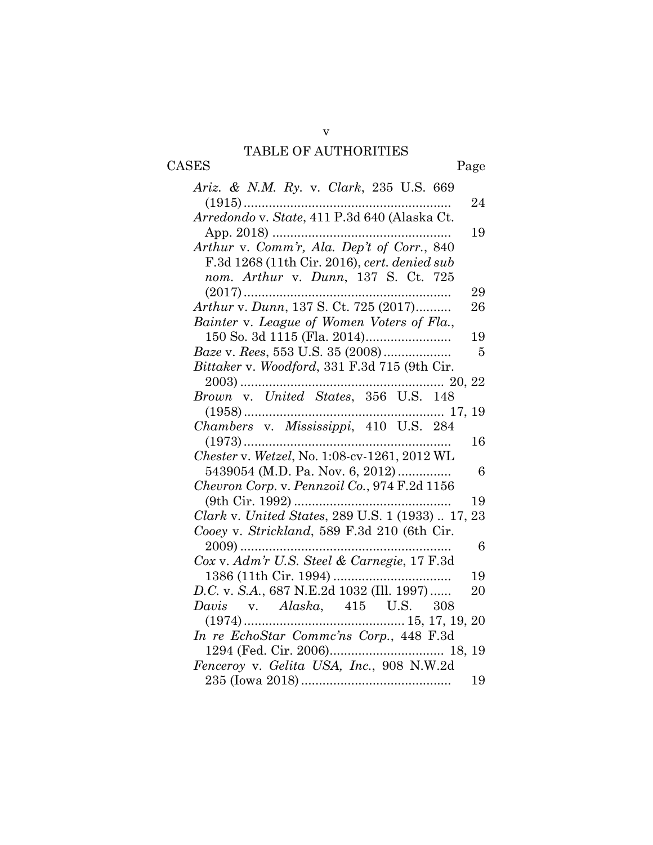# TABLE OF AUTHORITIES

CASES Page

| <i>Ariz. &amp; N.M. Ry. v. Clark, 235 U.S. 669</i>                           |     |
|------------------------------------------------------------------------------|-----|
|                                                                              | 24  |
| Arredondo v. State, 411 P.3d 640 (Alaska Ct.                                 |     |
|                                                                              | 19  |
| Arthur v. Comm'r, Ala. Dep't of Corr., 840                                   |     |
| F.3d 1268 (11th Cir. 2016), cert. denied sub                                 |     |
| nom. Arthur v. Dunn, 137 S. Ct. 725                                          |     |
|                                                                              | 29  |
| Arthur v. Dunn, 137 S. Ct. 725 (2017)                                        | 26  |
| Bainter v. League of Women Voters of Fla.,                                   |     |
|                                                                              | 19  |
| <i>Baze v. Rees, 553 U.S. 35 (2008)</i>                                      | - 5 |
| Bittaker v. Woodford, 331 F.3d 715 (9th Cir.                                 |     |
| $\ldots$ 20, 22                                                              |     |
|                                                                              |     |
|                                                                              |     |
| $(1958) \dots 17, 19$ $Chambers \, v. \, Mississippi, \, 410 \, U.S. \, 284$ |     |
|                                                                              | 16  |
| Chester v. Wetzel, No. 1:08-cv-1261, 2012 WL                                 |     |
| 5439054 (M.D. Pa. Nov. 6, 2012)                                              | 6   |
| Chevron Corp. v. Pennzoil Co., 974 F.2d 1156                                 |     |
|                                                                              | 19  |
| Clark v. United States, 289 U.S. 1 (1933)  17, 23                            |     |
| Cooey v. Strickland, 589 F.3d 210 (6th Cir.                                  |     |
|                                                                              | 6   |
| Cox v. Adm'r U.S. Steel & Carnegie, 17 F.3d                                  |     |
|                                                                              | 19  |
| D.C. v. S.A., 687 N.E.2d 1032 (Ill. 1997)                                    | 20  |
| <i>Davis</i> v. <i>Alaska</i> , 415 U.S. 308                                 |     |
|                                                                              |     |
| In re EchoStar Commc'ns Corp., 448 F.3d                                      |     |
|                                                                              |     |
| Fenceroy v. Gelita USA, Inc., 908 N.W.2d                                     |     |
|                                                                              | 19  |

v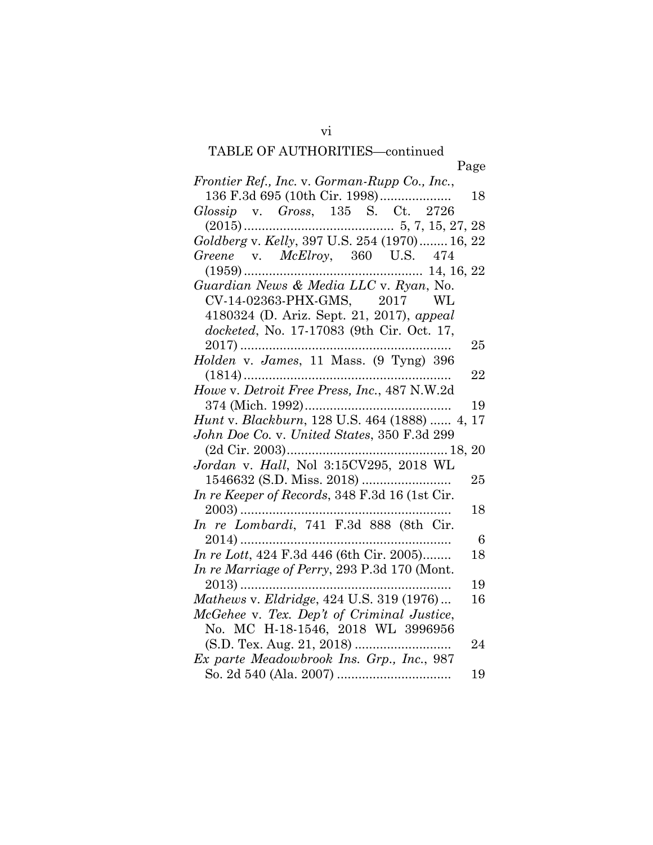vi

| Page                                                                                                 |  |
|------------------------------------------------------------------------------------------------------|--|
| Frontier Ref., Inc. v. Gorman-Rupp Co., Inc.,                                                        |  |
| 136 F.3d 695 (10th Cir. 1998)<br>18                                                                  |  |
| Glossip v. Gross, 135 S. Ct. 2726                                                                    |  |
|                                                                                                      |  |
| Goldberg v. Kelly, 397 U.S. 254 (1970) 16, 22                                                        |  |
| Greene v. McElroy, 360 U.S. 474                                                                      |  |
|                                                                                                      |  |
| Guardian News & Media LLC v. Ryan, No.                                                               |  |
| CV-14-02363-PHX-GMS, 2017 WL                                                                         |  |
| 4180324 (D. Ariz. Sept. 21, 2017), appeal                                                            |  |
| docketed, No. 17-17083 (9th Cir. Oct. 17,                                                            |  |
| $2017)$<br>$25\,$                                                                                    |  |
| Holden v. James, 11 Mass. (9 Tyng) 396                                                               |  |
| 22                                                                                                   |  |
| Howe v. Detroit Free Press, Inc., 487 N.W.2d                                                         |  |
| 19                                                                                                   |  |
| Hunt v. Blackburn, 128 U.S. 464 (1888)  4, 17                                                        |  |
| John Doe Co. v. United States, 350 F.3d 299                                                          |  |
|                                                                                                      |  |
| $(2d {\rm \;Cir.} \; 2003)18,20$ $Jordan \; v. \; Hall, \; Nol \; \; 3:15CV295, \; 2018 {\rm \; WL}$ |  |
| 25                                                                                                   |  |
| In re Keeper of Records, 348 F.3d 16 (1st Cir.                                                       |  |
| 18                                                                                                   |  |
| In re Lombardi, 741 F.3d 888 (8th Cir.                                                               |  |
| -6                                                                                                   |  |
| In re Lott, 424 F.3d 446 (6th Cir. 2005)<br>18                                                       |  |
| In re Marriage of Perry, 293 P.3d 170 (Mont.                                                         |  |
| 19<br>$2013)$                                                                                        |  |
| Mathews v. Eldridge, 424 U.S. 319 (1976)<br>16                                                       |  |
| McGehee v. Tex. Dep't of Criminal Justice,                                                           |  |
| No. MC H-18-1546, 2018 WL 3996956                                                                    |  |
| 24                                                                                                   |  |
| Ex parte Meadowbrook Ins. Grp., Inc., 987                                                            |  |
|                                                                                                      |  |
| 19                                                                                                   |  |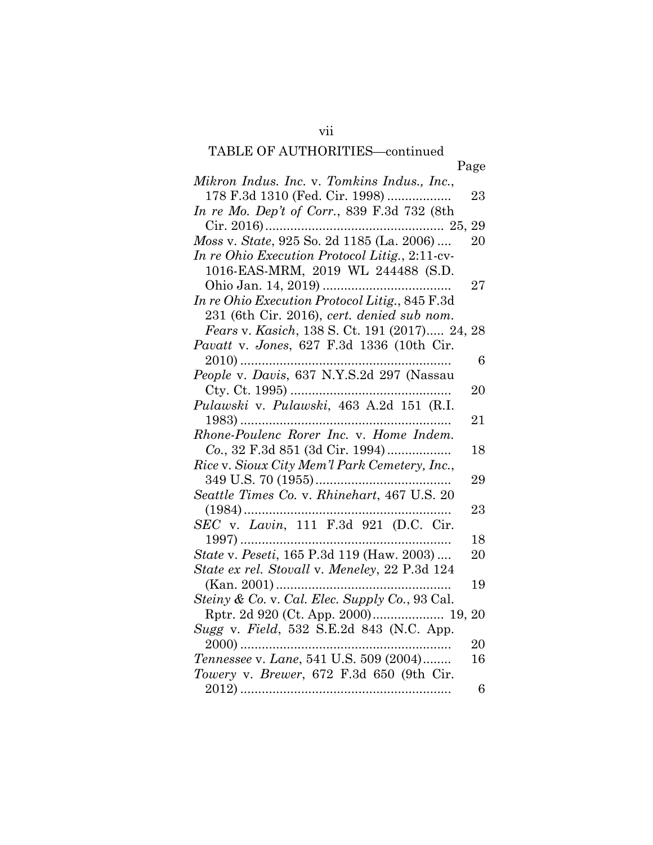|                                                                                                                                                                                                                                                                                                                                                                                                                            | Page |
|----------------------------------------------------------------------------------------------------------------------------------------------------------------------------------------------------------------------------------------------------------------------------------------------------------------------------------------------------------------------------------------------------------------------------|------|
| Mikron Indus. Inc. v. Tomkins Indus., Inc.,                                                                                                                                                                                                                                                                                                                                                                                |      |
| 178 F.3d 1310 (Fed. Cir. 1998)                                                                                                                                                                                                                                                                                                                                                                                             | 23   |
| In re Mo. Dep't of Corr., 839 F.3d 732 (8th                                                                                                                                                                                                                                                                                                                                                                                |      |
|                                                                                                                                                                                                                                                                                                                                                                                                                            | 29   |
| Moss v. State, 925 So. 2d 1185 (La. 2006)                                                                                                                                                                                                                                                                                                                                                                                  | 20   |
| In re Ohio Execution Protocol Litig., 2:11-cv-                                                                                                                                                                                                                                                                                                                                                                             |      |
| 1016-EAS-MRM, 2019 WL 244488 (S.D.                                                                                                                                                                                                                                                                                                                                                                                         |      |
|                                                                                                                                                                                                                                                                                                                                                                                                                            | 27   |
| In re Ohio Execution Protocol Litig., 845 F.3d                                                                                                                                                                                                                                                                                                                                                                             |      |
| 231 (6th Cir. 2016), cert. denied sub nom.                                                                                                                                                                                                                                                                                                                                                                                 |      |
| Fears v. Kasich, 138 S. Ct. 191 (2017) 24, 28                                                                                                                                                                                                                                                                                                                                                                              |      |
| Pavatt v. Jones, 627 F.3d 1336 (10th Cir.                                                                                                                                                                                                                                                                                                                                                                                  |      |
|                                                                                                                                                                                                                                                                                                                                                                                                                            | 6    |
|                                                                                                                                                                                                                                                                                                                                                                                                                            |      |
|                                                                                                                                                                                                                                                                                                                                                                                                                            | 20   |
| Pulawski v. Pulawski, 463 A.2d 151 (R.I.                                                                                                                                                                                                                                                                                                                                                                                   |      |
|                                                                                                                                                                                                                                                                                                                                                                                                                            |      |
|                                                                                                                                                                                                                                                                                                                                                                                                                            | 21   |
| Rhone-Poulenc Rorer Inc. v. Home Indem.                                                                                                                                                                                                                                                                                                                                                                                    |      |
| Co., 32 F.3d 851 (3d Cir. 1994)                                                                                                                                                                                                                                                                                                                                                                                            | 18   |
| Rice v. Sioux City Mem'l Park Cemetery, Inc.,                                                                                                                                                                                                                                                                                                                                                                              |      |
|                                                                                                                                                                                                                                                                                                                                                                                                                            | 29   |
| Seattle Times Co. v. Rhinehart, 467 U.S. 20                                                                                                                                                                                                                                                                                                                                                                                |      |
| $(1984)$                                                                                                                                                                                                                                                                                                                                                                                                                   | 23   |
| SEC v. Lavin, 111 F.3d 921 (D.C. Cir.                                                                                                                                                                                                                                                                                                                                                                                      |      |
| $1997)$                                                                                                                                                                                                                                                                                                                                                                                                                    | 18   |
| State v. Peseti, 165 P.3d 119 (Haw. 2003)                                                                                                                                                                                                                                                                                                                                                                                  | 20   |
| State ex rel. Stovall v. Meneley, 22 P.3d 124                                                                                                                                                                                                                                                                                                                                                                              |      |
|                                                                                                                                                                                                                                                                                                                                                                                                                            | 19   |
| Steiny & Co. v. Cal. Elec. Supply Co., 93 Cal.                                                                                                                                                                                                                                                                                                                                                                             |      |
| Rptr. 2d 920 (Ct. App. 2000) 19, 20                                                                                                                                                                                                                                                                                                                                                                                        |      |
| Sugg v. Field, 532 S.E.2d 843 (N.C. App.                                                                                                                                                                                                                                                                                                                                                                                   |      |
|                                                                                                                                                                                                                                                                                                                                                                                                                            | 20   |
| $\begin{minipage}{0.9\linewidth} \textbf{2000} \textbf{.} \textbf{.} \textbf{.} \textbf{.} \textbf{.} \textbf{.} \textbf{.} \textbf{.} \textbf{.} \textbf{.} \textbf{.} \textbf{.} \textbf{.} \textbf{.} \textbf{.} \textbf{.} \textbf{.} \textbf{.} \textbf{.} \textbf{.} \textbf{.} \textbf{.} \textbf{.} \textbf{.} \textbf{.} \textbf{.} \textbf{.} \textbf{.} \textbf{.} \textbf{.} \textbf{.} \textbf{.} \textbf{.}$ | 16   |
| Towery v. Brewer, 672 F.3d 650 (9th Cir.                                                                                                                                                                                                                                                                                                                                                                                   |      |
|                                                                                                                                                                                                                                                                                                                                                                                                                            | 6    |
|                                                                                                                                                                                                                                                                                                                                                                                                                            |      |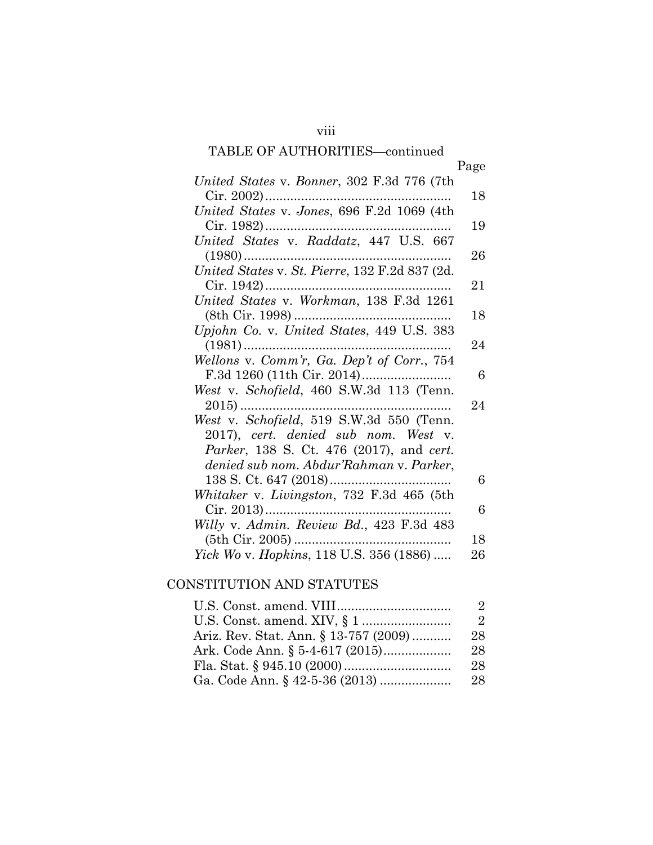|                                                          | Page |
|----------------------------------------------------------|------|
| United States v. Bonner, 302 F.3d 776 (7th               |      |
| $Cir. 2002)$                                             | 18   |
| United States v. Jones, 696 F.2d 1069 (4th               |      |
| Cir. 1982)                                               | 19   |
| United States v. Raddatz, 447 U.S. 667                   |      |
| $(1980)$                                                 | 26   |
| United States v. St. Pierre, 132 F.2d 837 (2d.           |      |
| $Cir. 1942$<br>United States v. Workman, 138 F.3d 1261   | 21   |
|                                                          |      |
|                                                          | 18   |
| Upjohn Co. v. United States, 449 U.S. 383                |      |
| $(1981)$                                                 | 24   |
| Wellons v. Comm'r, Ga. Dep't of Corr., 754               | 6    |
| West v. Schofield, 460 S.W.3d 113 (Tenn.                 |      |
| $2015)$                                                  | 24   |
| West v. Schofield, 519 S.W.3d 550 (Tenn.                 |      |
| 2017), cert. denied sub nom. West v.                     |      |
| <i>Parker</i> , 138 S. Ct. 476 (2017), and <i>cert</i> . |      |
| denied sub nom. Abdur'Rahman v. Parker,                  |      |
|                                                          | 6    |
| Whitaker v. Livingston, 732 F.3d 465 (5th                |      |
|                                                          | 6    |
| Willy v. Admin. Review Bd., 423 F.3d 483                 |      |
| $(5th$ Cir. 2005)                                        | 18   |
| <i>Yick Wo v. Hopkins</i> , 118 U.S. 356 (1886)          | 26   |

## CONSTITUTION AND STATUTES

|                                       | $\mathcal{L}$  |
|---------------------------------------|----------------|
|                                       | $\mathfrak{L}$ |
| Ariz. Rev. Stat. Ann. § 13-757 (2009) | 28             |
|                                       | 28             |
|                                       | 28             |
|                                       | 28             |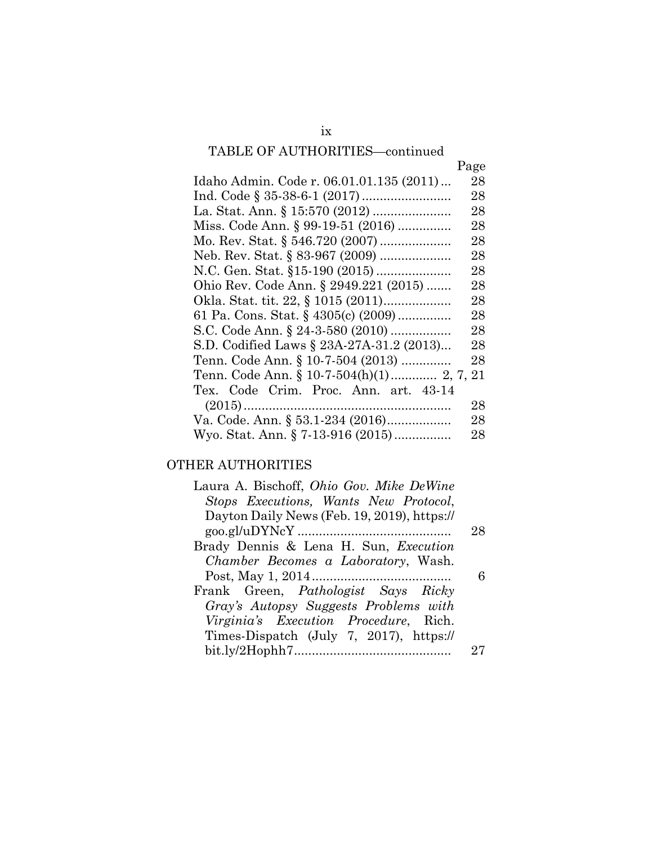| IADLE OF AUTHORITIES—continued            |        |
|-------------------------------------------|--------|
|                                           | Page   |
| Idaho Admin. Code r. 06.01.01.135 (2011)  | 28     |
|                                           | 28     |
|                                           | 28     |
| Miss. Code Ann. § 99-19-51 (2016)         | 28     |
|                                           | 28     |
| Neb. Rev. Stat. § 83-967 (2009)           | 28     |
|                                           | 28     |
| Ohio Rev. Code Ann. § 2949.221 (2015)     | 28     |
|                                           | 28     |
| 61 Pa. Cons. Stat. § 4305(c) (2009)       | 28     |
| S.C. Code Ann. § 24-3-580 (2010)          | 28     |
| S.D. Codified Laws § 23A-27A-31.2 (2013)  | $28\,$ |
| Tenn. Code Ann. § 10-7-504 (2013)         | 28     |
| Tenn. Code Ann. § 10-7-504(h)(1) 2, 7, 21 |        |
| Tex. Code Crim. Proc. Ann. art. 43-14     |        |
|                                           | 28     |
| Va. Code. Ann. § 53.1-234 (2016)          | 28     |
| Wyo. Stat. Ann. § 7-13-916 (2015)         | 28     |

# OTHER AUTHORITIES

| Laura A. Bischoff, <i>Ohio Gov. Mike DeWine</i> |    |
|-------------------------------------------------|----|
| Stops Executions, Wants New Protocol,           |    |
| Dayton Daily News (Feb. 19, 2019), https://     |    |
|                                                 | 28 |
| Brady Dennis & Lena H. Sun, <i>Execution</i>    |    |
| <i>Chamber Becomes a Laboratory</i> , Wash.     |    |
|                                                 |    |
| Frank Green, Pathologist Says Ricky             |    |
| Gray's Autopsy Suggests Problems with           |    |
| <i>Virginia's Execution Procedure</i> , Rich.   |    |
| Times-Dispatch (July 7, 2017), https://         |    |
|                                                 |    |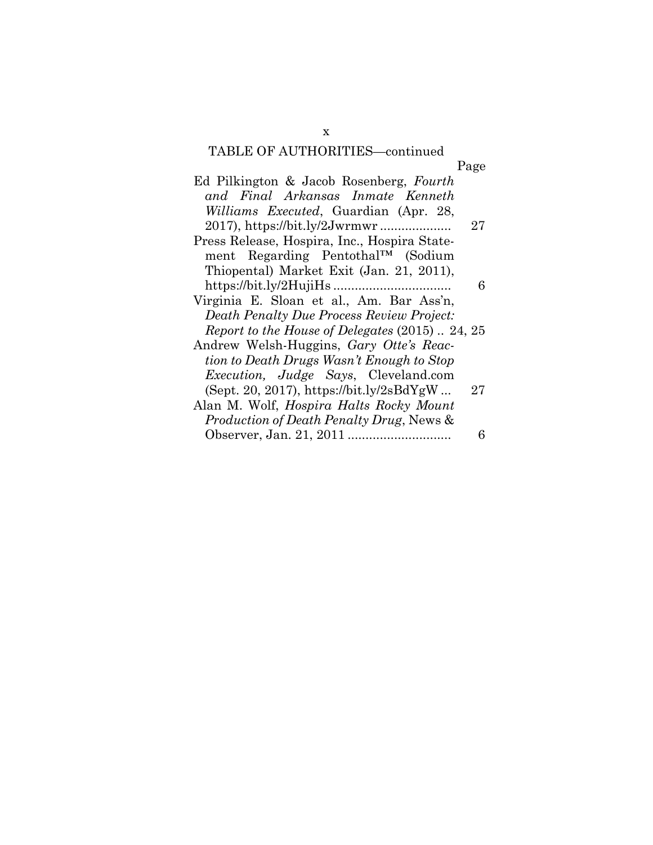| Ed Pilkington & Jacob Rosenberg, Fourth             |    |
|-----------------------------------------------------|----|
| and Final Arkansas Inmate Kenneth                   |    |
| <i>Williams Executed</i> , Guardian (Apr. 28,       |    |
|                                                     | 27 |
| Press Release, Hospira, Inc., Hospira State-        |    |
| ment Regarding Pentothal <sup>TM</sup> (Sodium      |    |
| Thiopental) Market Exit (Jan. 21, 2011),            |    |
|                                                     | 6  |
| Virginia E. Sloan et al., Am. Bar Ass'n,            |    |
| Death Penalty Due Process Review Project:           |    |
| Report to the House of Delegates (2015)  24, 25     |    |
| Andrew Welsh-Huggins, Gary Otte's Reac-             |    |
| tion to Death Drugs Wasn't Enough to Stop           |    |
| <i>Execution, Judge Says, Cleveland.com</i>         |    |
| (Sept. 20, 2017), https://bit.ly/2sBdYgW            | 27 |
| Alan M. Wolf, <i>Hospira Halts Rocky Mount</i>      |    |
| <i>Production of Death Penalty Drug, News &amp;</i> |    |
|                                                     | 6  |
|                                                     |    |

x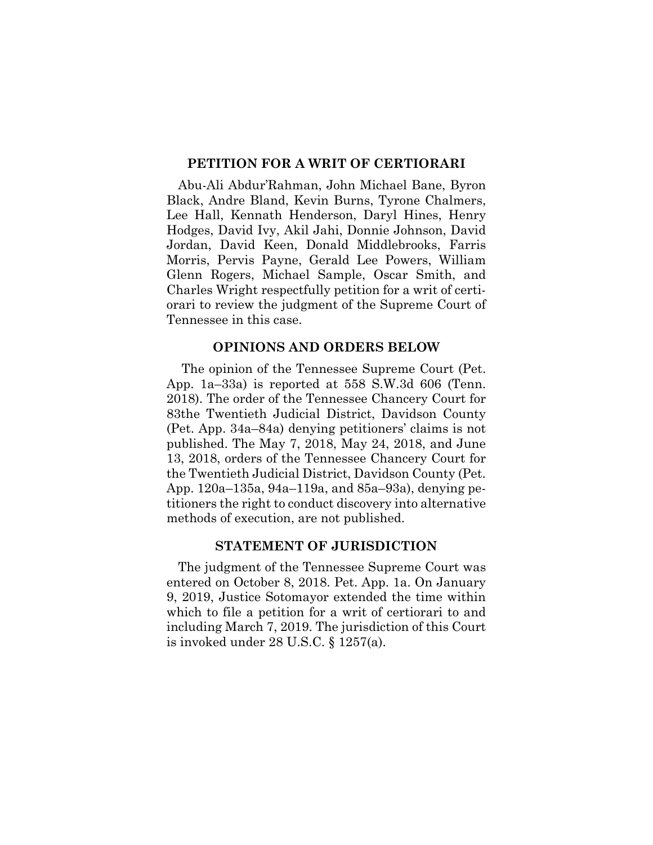### **PETITION FOR A WRIT OF CERTIORARI**

Abu-Ali Abdur'Rahman, John Michael Bane, Byron Black, Andre Bland, Kevin Burns, Tyrone Chalmers, Lee Hall, Kennath Henderson, Daryl Hines, Henry Hodges, David Ivy, Akil Jahi, Donnie Johnson, David Jordan, David Keen, Donald Middlebrooks, Farris Morris, Pervis Payne, Gerald Lee Powers, William Glenn Rogers, Michael Sample, Oscar Smith, and Charles Wright respectfully petition for a writ of certiorari to review the judgment of the Supreme Court of Tennessee in this case.

### **OPINIONS AND ORDERS BELOW**

 The opinion of the Tennessee Supreme Court (Pet. App. 1a–33a) is reported at 558 S.W.3d 606 (Tenn. 2018). The order of the Tennessee Chancery Court for 83the Twentieth Judicial District, Davidson County (Pet. App. 34a–84a) denying petitioners' claims is not published. The May 7, 2018, May 24, 2018, and June 13, 2018, orders of the Tennessee Chancery Court for the Twentieth Judicial District, Davidson County (Pet. App. 120a–135a, 94a–119a, and 85a–93a), denying petitioners the right to conduct discovery into alternative methods of execution, are not published.

### **STATEMENT OF JURISDICTION**

The judgment of the Tennessee Supreme Court was entered on October 8, 2018. Pet. App. 1a. On January 9, 2019, Justice Sotomayor extended the time within which to file a petition for a writ of certiorari to and including March 7, 2019. The jurisdiction of this Court is invoked under 28 U.S.C. § 1257(a).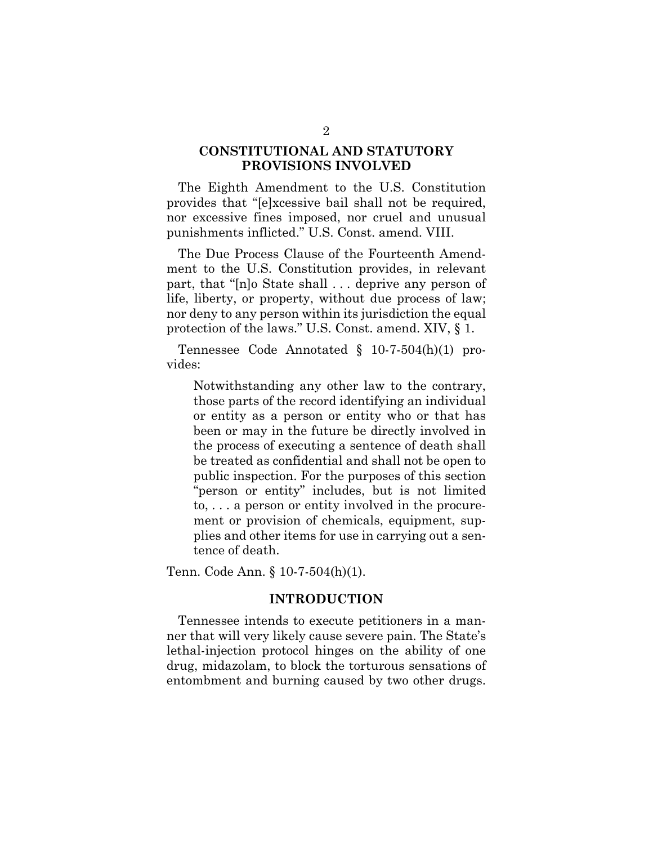## **CONSTITUTIONAL AND STATUTORY PROVISIONS INVOLVED**

The Eighth Amendment to the U.S. Constitution provides that "[e]xcessive bail shall not be required, nor excessive fines imposed, nor cruel and unusual punishments inflicted." U.S. Const. amend. VIII.

The Due Process Clause of the Fourteenth Amendment to the U.S. Constitution provides, in relevant part, that "[n]o State shall . . . deprive any person of life, liberty, or property, without due process of law; nor deny to any person within its jurisdiction the equal protection of the laws." U.S. Const. amend. XIV, § 1.

Tennessee Code Annotated § 10-7-504(h)(1) provides:

Notwithstanding any other law to the contrary, those parts of the record identifying an individual or entity as a person or entity who or that has been or may in the future be directly involved in the process of executing a sentence of death shall be treated as confidential and shall not be open to public inspection. For the purposes of this section "person or entity" includes, but is not limited to, . . . a person or entity involved in the procurement or provision of chemicals, equipment, supplies and other items for use in carrying out a sentence of death.

Tenn. Code Ann. § 10-7-504(h)(1).

### **INTRODUCTION**

Tennessee intends to execute petitioners in a manner that will very likely cause severe pain. The State's lethal-injection protocol hinges on the ability of one drug, midazolam, to block the torturous sensations of entombment and burning caused by two other drugs.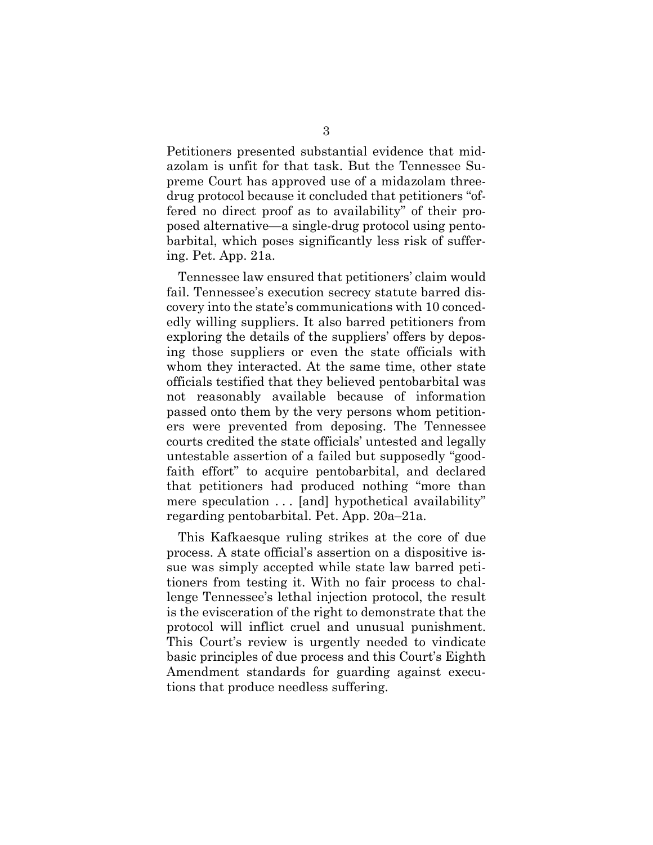Petitioners presented substantial evidence that midazolam is unfit for that task. But the Tennessee Supreme Court has approved use of a midazolam threedrug protocol because it concluded that petitioners "offered no direct proof as to availability" of their proposed alternative—a single-drug protocol using pentobarbital, which poses significantly less risk of suffering. Pet. App. 21a.

Tennessee law ensured that petitioners' claim would fail. Tennessee's execution secrecy statute barred discovery into the state's communications with 10 concededly willing suppliers. It also barred petitioners from exploring the details of the suppliers' offers by deposing those suppliers or even the state officials with whom they interacted. At the same time, other state officials testified that they believed pentobarbital was not reasonably available because of information passed onto them by the very persons whom petitioners were prevented from deposing. The Tennessee courts credited the state officials' untested and legally untestable assertion of a failed but supposedly "goodfaith effort" to acquire pentobarbital, and declared that petitioners had produced nothing "more than mere speculation . . . [and] hypothetical availability" regarding pentobarbital. Pet. App. 20a–21a.

This Kafkaesque ruling strikes at the core of due process. A state official's assertion on a dispositive issue was simply accepted while state law barred petitioners from testing it. With no fair process to challenge Tennessee's lethal injection protocol, the result is the evisceration of the right to demonstrate that the protocol will inflict cruel and unusual punishment. This Court's review is urgently needed to vindicate basic principles of due process and this Court's Eighth Amendment standards for guarding against executions that produce needless suffering.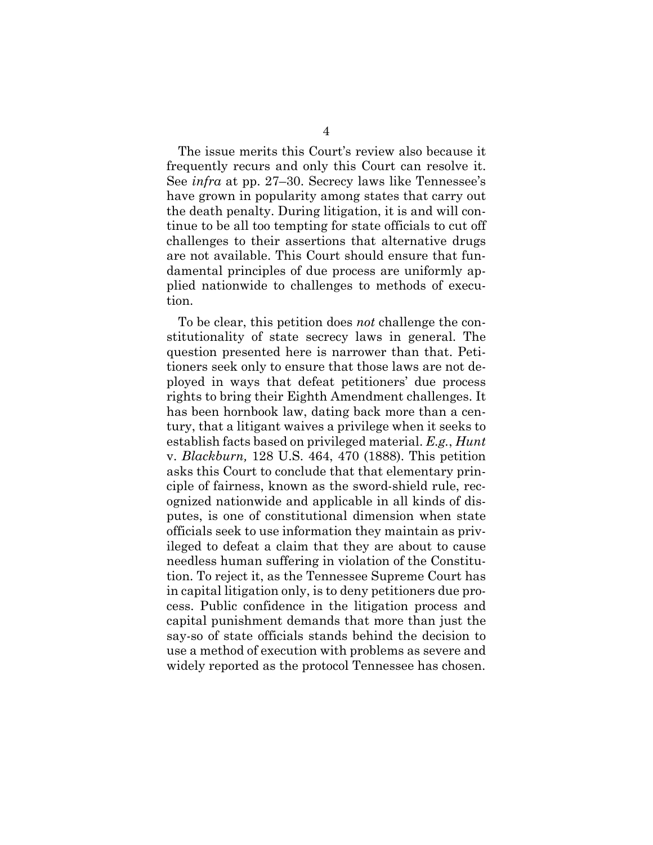The issue merits this Court's review also because it frequently recurs and only this Court can resolve it. See *infra* at pp. 27–30. Secrecy laws like Tennessee's have grown in popularity among states that carry out the death penalty. During litigation, it is and will continue to be all too tempting for state officials to cut off challenges to their assertions that alternative drugs are not available. This Court should ensure that fundamental principles of due process are uniformly applied nationwide to challenges to methods of execution.

To be clear, this petition does *not* challenge the constitutionality of state secrecy laws in general. The question presented here is narrower than that. Petitioners seek only to ensure that those laws are not deployed in ways that defeat petitioners' due process rights to bring their Eighth Amendment challenges. It has been hornbook law, dating back more than a century, that a litigant waives a privilege when it seeks to establish facts based on privileged material. *E.g.*, *Hunt*  v. *Blackburn,* 128 U.S. 464, 470 (1888). This petition asks this Court to conclude that that elementary principle of fairness, known as the sword-shield rule, recognized nationwide and applicable in all kinds of disputes, is one of constitutional dimension when state officials seek to use information they maintain as privileged to defeat a claim that they are about to cause needless human suffering in violation of the Constitution. To reject it, as the Tennessee Supreme Court has in capital litigation only, is to deny petitioners due process. Public confidence in the litigation process and capital punishment demands that more than just the say-so of state officials stands behind the decision to use a method of execution with problems as severe and widely reported as the protocol Tennessee has chosen.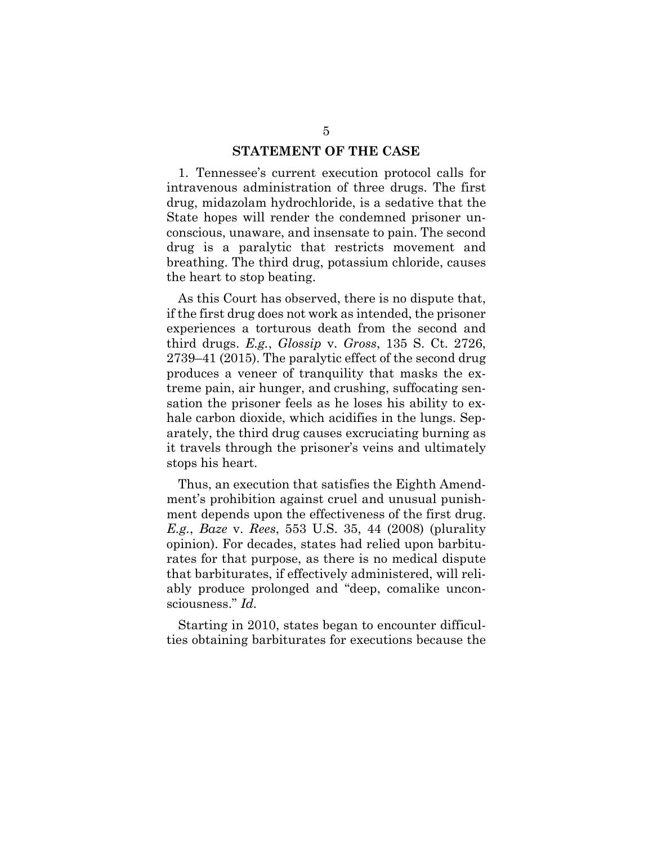### **STATEMENT OF THE CASE**

1. Tennessee's current execution protocol calls for intravenous administration of three drugs. The first drug, midazolam hydrochloride, is a sedative that the State hopes will render the condemned prisoner unconscious, unaware, and insensate to pain. The second drug is a paralytic that restricts movement and breathing. The third drug, potassium chloride, causes the heart to stop beating.

As this Court has observed, there is no dispute that, if the first drug does not work as intended, the prisoner experiences a torturous death from the second and third drugs. *E.g.*, *Glossip* v. *Gross*, 135 S. Ct. 2726, 2739–41 (2015). The paralytic effect of the second drug produces a veneer of tranquility that masks the extreme pain, air hunger, and crushing, suffocating sensation the prisoner feels as he loses his ability to exhale carbon dioxide, which acidifies in the lungs. Separately, the third drug causes excruciating burning as it travels through the prisoner's veins and ultimately stops his heart.

Thus, an execution that satisfies the Eighth Amendment's prohibition against cruel and unusual punishment depends upon the effectiveness of the first drug. *E.g.*, *Baze* v. *Rees*, 553 U.S. 35, 44 (2008) (plurality opinion). For decades, states had relied upon barbiturates for that purpose, as there is no medical dispute that barbiturates, if effectively administered, will reliably produce prolonged and "deep, comalike unconsciousness." *Id.*

Starting in 2010, states began to encounter difficulties obtaining barbiturates for executions because the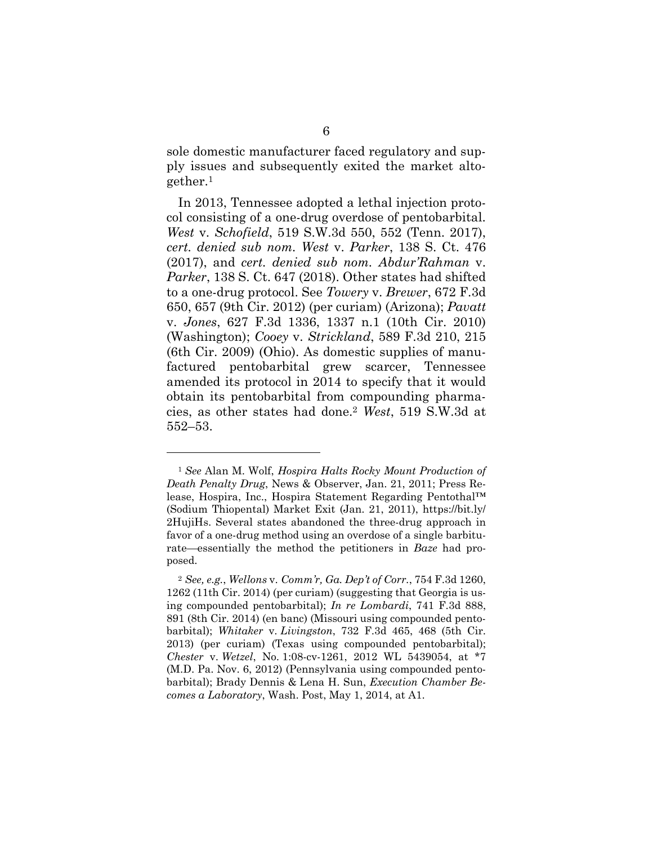sole domestic manufacturer faced regulatory and supply issues and subsequently exited the market altogether.1

In 2013, Tennessee adopted a lethal injection protocol consisting of a one-drug overdose of pentobarbital. *West* v. *Schofield*, 519 S.W.3d 550, 552 (Tenn. 2017), *cert. denied sub nom. West* v. *Parker*, 138 S. Ct. 476 (2017), and *cert. denied sub nom. Abdur'Rahman* v. *Parker*, 138 S. Ct. 647 (2018). Other states had shifted to a one-drug protocol. See *Towery* v. *Brewer*, 672 F.3d 650, 657 (9th Cir. 2012) (per curiam) (Arizona); *Pavatt* v. *Jones*, 627 F.3d 1336, 1337 n.1 (10th Cir. 2010) (Washington); *Cooey* v. *Strickland*, 589 F.3d 210, 215 (6th Cir. 2009) (Ohio). As domestic supplies of manufactured pentobarbital grew scarcer, Tennessee amended its protocol in 2014 to specify that it would obtain its pentobarbital from compounding pharmacies, as other states had done.2 *West*, 519 S.W.3d at 552–53.

l

<sup>1</sup> *See* Alan M. Wolf, *Hospira Halts Rocky Mount Production of Death Penalty Drug*, News & Observer, Jan. 21, 2011; Press Release, Hospira, Inc., Hospira Statement Regarding Pentothal™ (Sodium Thiopental) Market Exit (Jan. 21, 2011), https://bit.ly/ 2HujiHs. Several states abandoned the three-drug approach in favor of a one-drug method using an overdose of a single barbiturate—essentially the method the petitioners in *Baze* had proposed.

<sup>2</sup> *See, e.g.*, *Wellons* v. *Comm'r, Ga. Dep't of Corr.*, 754 F.3d 1260, 1262 (11th Cir. 2014) (per curiam) (suggesting that Georgia is using compounded pentobarbital); *In re Lombardi*, 741 F.3d 888, 891 (8th Cir. 2014) (en banc) (Missouri using compounded pentobarbital); *Whitaker* v. *Livingston*, 732 F.3d 465, 468 (5th Cir. 2013) (per curiam) (Texas using compounded pentobarbital); *Chester* v. *Wetzel*, No. 1:08-cv-1261, 2012 WL 5439054, at \*7 (M.D. Pa. Nov. 6, 2012) (Pennsylvania using compounded pentobarbital); Brady Dennis & Lena H. Sun, *Execution Chamber Becomes a Laboratory*, Wash. Post, May 1, 2014, at A1.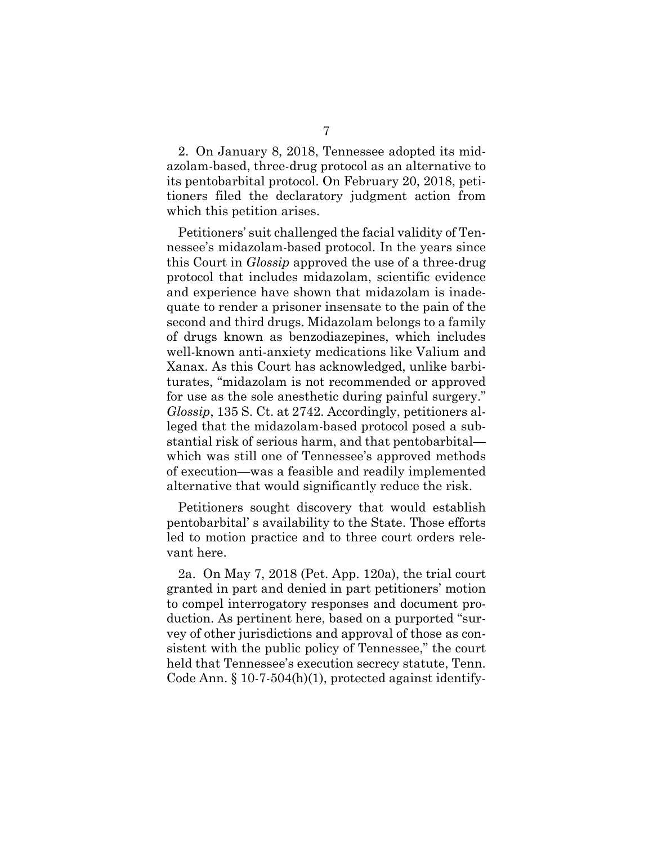2. On January 8, 2018, Tennessee adopted its midazolam-based, three-drug protocol as an alternative to its pentobarbital protocol. On February 20, 2018, petitioners filed the declaratory judgment action from which this petition arises.

Petitioners' suit challenged the facial validity of Tennessee's midazolam-based protocol. In the years since this Court in *Glossip* approved the use of a three-drug protocol that includes midazolam, scientific evidence and experience have shown that midazolam is inadequate to render a prisoner insensate to the pain of the second and third drugs. Midazolam belongs to a family of drugs known as benzodiazepines, which includes well-known anti-anxiety medications like Valium and Xanax. As this Court has acknowledged, unlike barbiturates, "midazolam is not recommended or approved for use as the sole anesthetic during painful surgery." *Glossip*, 135 S. Ct. at 2742. Accordingly, petitioners alleged that the midazolam-based protocol posed a substantial risk of serious harm, and that pentobarbital which was still one of Tennessee's approved methods of execution—was a feasible and readily implemented alternative that would significantly reduce the risk.

Petitioners sought discovery that would establish pentobarbital' s availability to the State. Those efforts led to motion practice and to three court orders relevant here.

2a. On May 7, 2018 (Pet. App. 120a), the trial court granted in part and denied in part petitioners' motion to compel interrogatory responses and document production. As pertinent here, based on a purported "survey of other jurisdictions and approval of those as consistent with the public policy of Tennessee," the court held that Tennessee's execution secrecy statute, Tenn. Code Ann.  $\S 10-7-504(h)(1)$ , protected against identify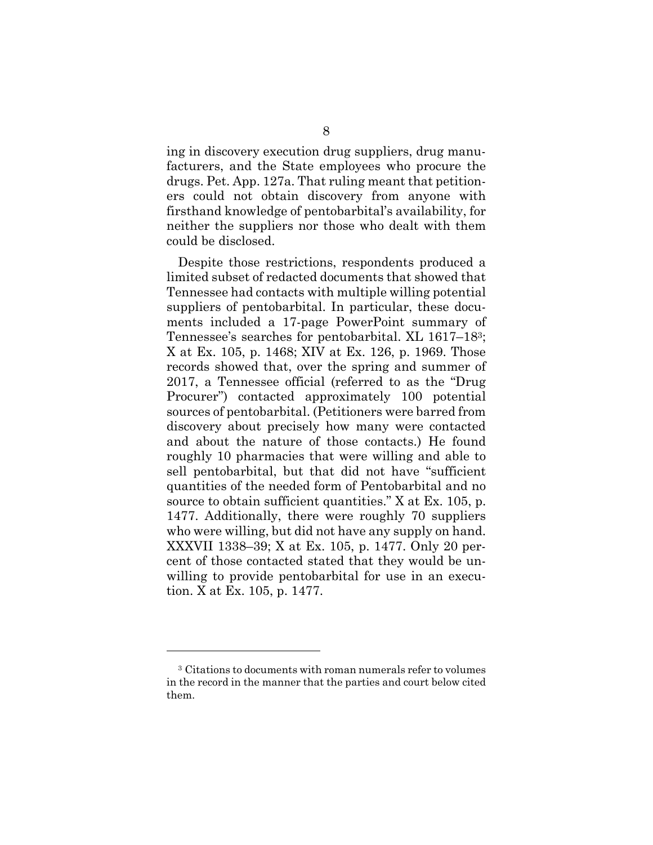ing in discovery execution drug suppliers, drug manufacturers, and the State employees who procure the drugs. Pet. App. 127a. That ruling meant that petitioners could not obtain discovery from anyone with firsthand knowledge of pentobarbital's availability, for neither the suppliers nor those who dealt with them could be disclosed.

Despite those restrictions, respondents produced a limited subset of redacted documents that showed that Tennessee had contacts with multiple willing potential suppliers of pentobarbital. In particular, these documents included a 17-page PowerPoint summary of Tennessee's searches for pentobarbital. XL 1617–183; X at Ex. 105, p. 1468; XIV at Ex. 126, p. 1969. Those records showed that, over the spring and summer of 2017, a Tennessee official (referred to as the "Drug Procurer") contacted approximately 100 potential sources of pentobarbital. (Petitioners were barred from discovery about precisely how many were contacted and about the nature of those contacts.) He found roughly 10 pharmacies that were willing and able to sell pentobarbital, but that did not have "sufficient quantities of the needed form of Pentobarbital and no source to obtain sufficient quantities." X at Ex. 105, p. 1477. Additionally, there were roughly 70 suppliers who were willing, but did not have any supply on hand. XXXVII 1338–39; X at Ex. 105, p. 1477. Only 20 percent of those contacted stated that they would be unwilling to provide pentobarbital for use in an execution. X at Ex. 105, p. 1477.

l

<sup>3</sup> Citations to documents with roman numerals refer to volumes in the record in the manner that the parties and court below cited them.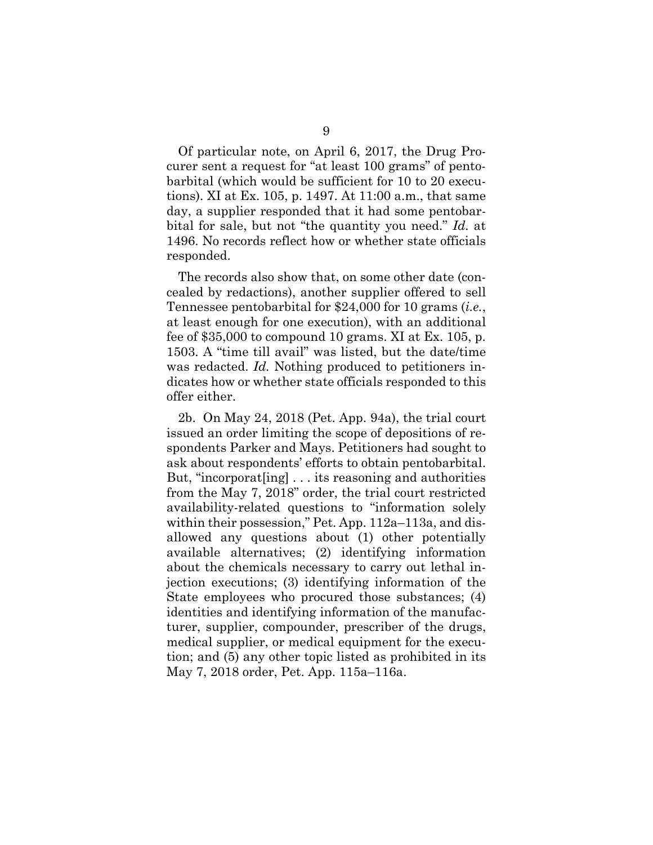Of particular note, on April 6, 2017, the Drug Procurer sent a request for "at least 100 grams" of pentobarbital (which would be sufficient for 10 to 20 executions). XI at Ex. 105, p. 1497. At 11:00 a.m., that same day, a supplier responded that it had some pentobarbital for sale, but not "the quantity you need." *Id.* at 1496. No records reflect how or whether state officials responded.

The records also show that, on some other date (concealed by redactions), another supplier offered to sell Tennessee pentobarbital for \$24,000 for 10 grams (*i.e.*, at least enough for one execution), with an additional fee of \$35,000 to compound 10 grams. XI at Ex. 105, p. 1503. A "time till avail" was listed, but the date/time was redacted. *Id.* Nothing produced to petitioners indicates how or whether state officials responded to this offer either.

2b. On May 24, 2018 (Pet. App. 94a), the trial court issued an order limiting the scope of depositions of respondents Parker and Mays. Petitioners had sought to ask about respondents' efforts to obtain pentobarbital. But, "incorporat[ing] . . . its reasoning and authorities from the May 7, 2018" order, the trial court restricted availability-related questions to "information solely within their possession," Pet. App. 112a–113a, and disallowed any questions about (1) other potentially available alternatives; (2) identifying information about the chemicals necessary to carry out lethal injection executions; (3) identifying information of the State employees who procured those substances; (4) identities and identifying information of the manufacturer, supplier, compounder, prescriber of the drugs, medical supplier, or medical equipment for the execution; and (5) any other topic listed as prohibited in its May 7, 2018 order, Pet. App. 115a–116a.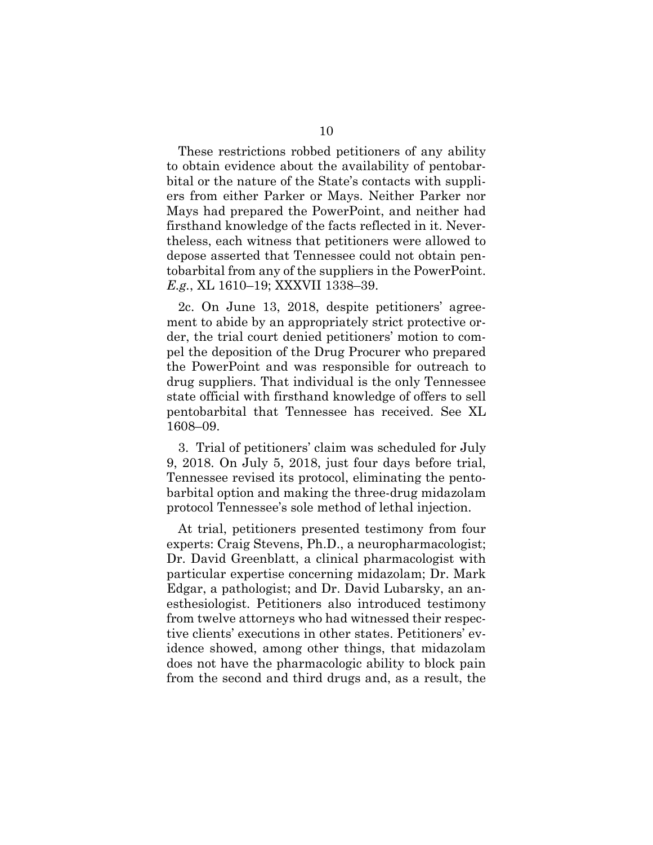These restrictions robbed petitioners of any ability to obtain evidence about the availability of pentobarbital or the nature of the State's contacts with suppliers from either Parker or Mays. Neither Parker nor Mays had prepared the PowerPoint, and neither had firsthand knowledge of the facts reflected in it. Nevertheless, each witness that petitioners were allowed to depose asserted that Tennessee could not obtain pentobarbital from any of the suppliers in the PowerPoint. *E.g.*, XL 1610–19; XXXVII 1338–39.

2c. On June 13, 2018, despite petitioners' agreement to abide by an appropriately strict protective order, the trial court denied petitioners' motion to compel the deposition of the Drug Procurer who prepared the PowerPoint and was responsible for outreach to drug suppliers. That individual is the only Tennessee state official with firsthand knowledge of offers to sell pentobarbital that Tennessee has received. See XL 1608–09.

3. Trial of petitioners' claim was scheduled for July 9, 2018. On July 5, 2018, just four days before trial, Tennessee revised its protocol, eliminating the pentobarbital option and making the three-drug midazolam protocol Tennessee's sole method of lethal injection.

At trial, petitioners presented testimony from four experts: Craig Stevens, Ph.D., a neuropharmacologist; Dr. David Greenblatt, a clinical pharmacologist with particular expertise concerning midazolam; Dr. Mark Edgar, a pathologist; and Dr. David Lubarsky, an anesthesiologist. Petitioners also introduced testimony from twelve attorneys who had witnessed their respective clients' executions in other states. Petitioners' evidence showed, among other things, that midazolam does not have the pharmacologic ability to block pain from the second and third drugs and, as a result, the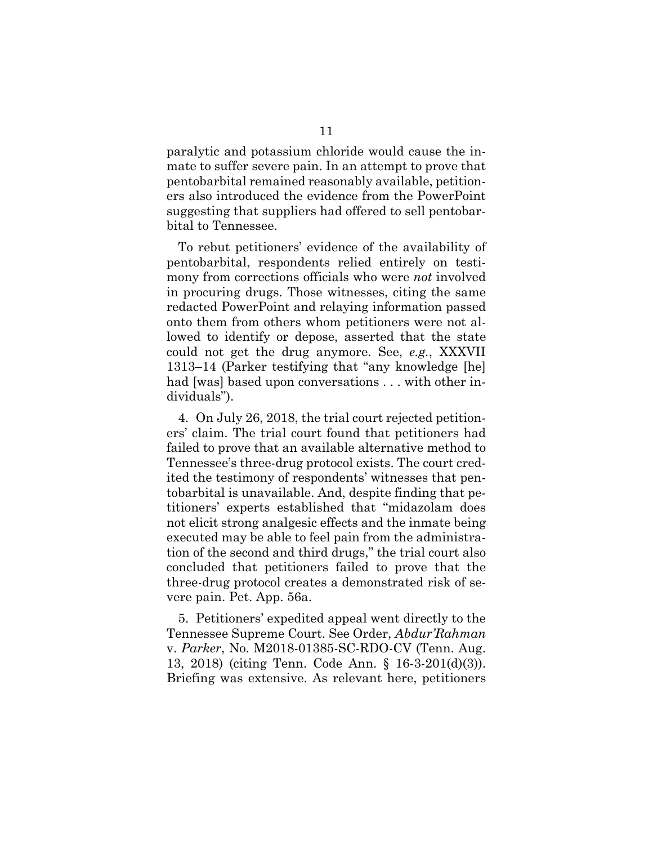paralytic and potassium chloride would cause the inmate to suffer severe pain. In an attempt to prove that pentobarbital remained reasonably available, petitioners also introduced the evidence from the PowerPoint suggesting that suppliers had offered to sell pentobarbital to Tennessee.

To rebut petitioners' evidence of the availability of pentobarbital, respondents relied entirely on testimony from corrections officials who were *not* involved in procuring drugs. Those witnesses, citing the same redacted PowerPoint and relaying information passed onto them from others whom petitioners were not allowed to identify or depose, asserted that the state could not get the drug anymore. See, *e.g.*, XXXVII 1313–14 (Parker testifying that "any knowledge [he] had [was] based upon conversations . . . with other individuals").

4. On July 26, 2018, the trial court rejected petitioners' claim. The trial court found that petitioners had failed to prove that an available alternative method to Tennessee's three-drug protocol exists. The court credited the testimony of respondents' witnesses that pentobarbital is unavailable. And, despite finding that petitioners' experts established that "midazolam does not elicit strong analgesic effects and the inmate being executed may be able to feel pain from the administration of the second and third drugs," the trial court also concluded that petitioners failed to prove that the three-drug protocol creates a demonstrated risk of severe pain. Pet. App. 56a.

5. Petitioners' expedited appeal went directly to the Tennessee Supreme Court. See Order, *Abdur'Rahman*  v. *Parker*, No. M2018-01385-SC-RDO-CV (Tenn. Aug. 13, 2018) (citing Tenn. Code Ann. § 16-3-201(d)(3)). Briefing was extensive. As relevant here, petitioners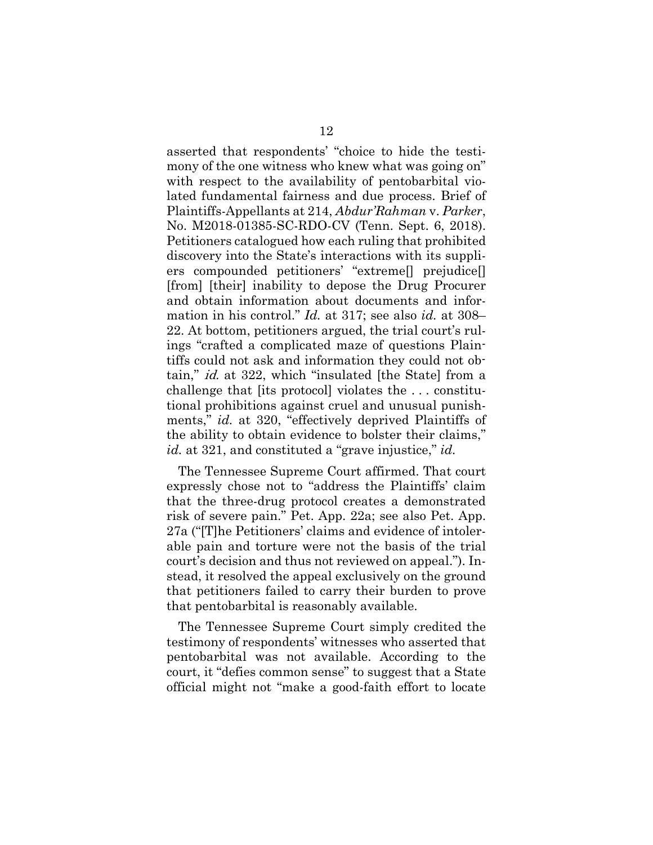asserted that respondents' "choice to hide the testimony of the one witness who knew what was going on" with respect to the availability of pentobarbital violated fundamental fairness and due process. Brief of Plaintiffs-Appellants at 214, *Abdur'Rahman* v. *Parker*, No. M2018-01385-SC-RDO-CV (Tenn. Sept. 6, 2018). Petitioners catalogued how each ruling that prohibited discovery into the State's interactions with its suppliers compounded petitioners' "extreme[] prejudice[] [from] [their] inability to depose the Drug Procurer and obtain information about documents and information in his control." *Id.* at 317; see also *id.* at 308– 22. At bottom, petitioners argued, the trial court's rulings "crafted a complicated maze of questions Plaintiffs could not ask and information they could not obtain," id. at 322, which "insulated [the State] from a challenge that [its protocol] violates the . . . constitutional prohibitions against cruel and unusual punishments," *id.* at 320, "effectively deprived Plaintiffs of the ability to obtain evidence to bolster their claims," *id.* at 321, and constituted a "grave injustice," *id.*

The Tennessee Supreme Court affirmed. That court expressly chose not to "address the Plaintiffs' claim that the three-drug protocol creates a demonstrated risk of severe pain." Pet. App. 22a; see also Pet. App. 27a ("[T]he Petitioners' claims and evidence of intolerable pain and torture were not the basis of the trial court's decision and thus not reviewed on appeal."). Instead, it resolved the appeal exclusively on the ground that petitioners failed to carry their burden to prove that pentobarbital is reasonably available.

The Tennessee Supreme Court simply credited the testimony of respondents' witnesses who asserted that pentobarbital was not available. According to the court, it "defies common sense" to suggest that a State official might not "make a good-faith effort to locate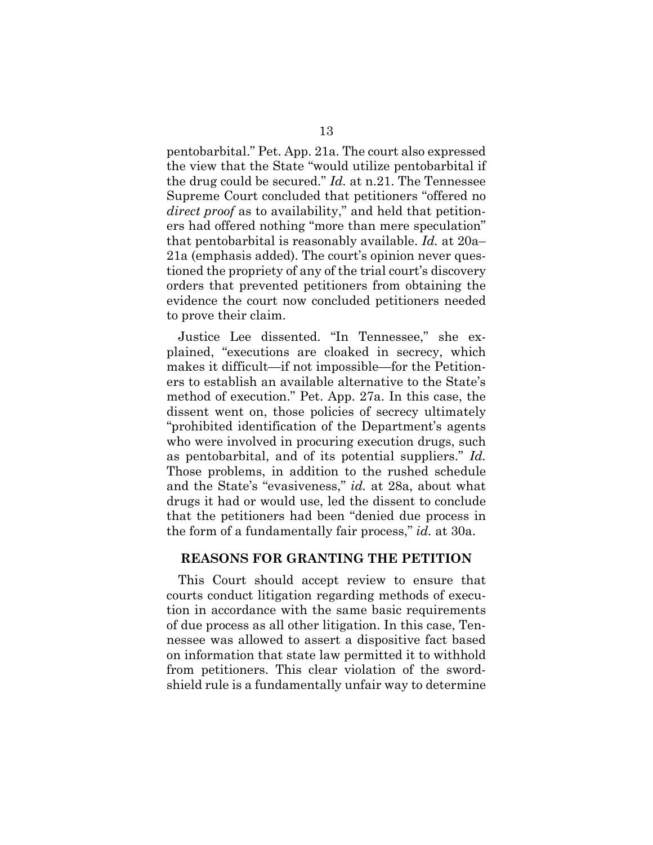pentobarbital." Pet. App. 21a. The court also expressed the view that the State "would utilize pentobarbital if the drug could be secured." *Id.* at n.21. The Tennessee Supreme Court concluded that petitioners "offered no *direct proof* as to availability," and held that petitioners had offered nothing "more than mere speculation" that pentobarbital is reasonably available. *Id.* at 20a– 21a (emphasis added). The court's opinion never questioned the propriety of any of the trial court's discovery orders that prevented petitioners from obtaining the evidence the court now concluded petitioners needed to prove their claim.

Justice Lee dissented. "In Tennessee," she explained, "executions are cloaked in secrecy, which makes it difficult—if not impossible—for the Petitioners to establish an available alternative to the State's method of execution." Pet. App. 27a. In this case, the dissent went on, those policies of secrecy ultimately "prohibited identification of the Department's agents who were involved in procuring execution drugs, such as pentobarbital, and of its potential suppliers." *Id.*  Those problems, in addition to the rushed schedule and the State's "evasiveness," *id.* at 28a, about what drugs it had or would use, led the dissent to conclude that the petitioners had been "denied due process in the form of a fundamentally fair process," *id.* at 30a.

### **REASONS FOR GRANTING THE PETITION**

This Court should accept review to ensure that courts conduct litigation regarding methods of execution in accordance with the same basic requirements of due process as all other litigation. In this case, Tennessee was allowed to assert a dispositive fact based on information that state law permitted it to withhold from petitioners. This clear violation of the swordshield rule is a fundamentally unfair way to determine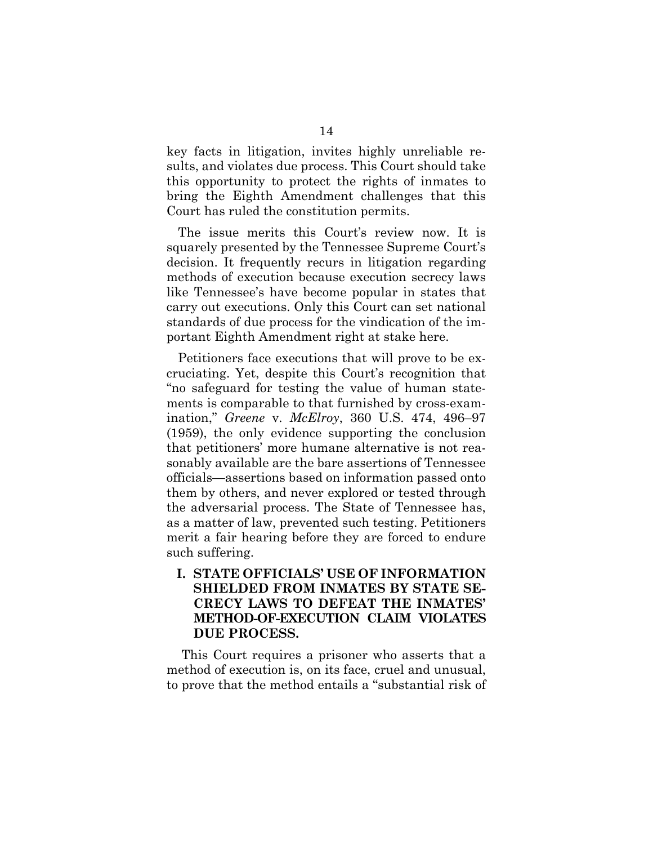key facts in litigation, invites highly unreliable results, and violates due process. This Court should take this opportunity to protect the rights of inmates to bring the Eighth Amendment challenges that this Court has ruled the constitution permits.

The issue merits this Court's review now. It is squarely presented by the Tennessee Supreme Court's decision. It frequently recurs in litigation regarding methods of execution because execution secrecy laws like Tennessee's have become popular in states that carry out executions. Only this Court can set national standards of due process for the vindication of the important Eighth Amendment right at stake here.

Petitioners face executions that will prove to be excruciating. Yet, despite this Court's recognition that "no safeguard for testing the value of human statements is comparable to that furnished by cross-examination," *Greene* v. *McElroy*, 360 U.S. 474, 496–97 (1959), the only evidence supporting the conclusion that petitioners' more humane alternative is not reasonably available are the bare assertions of Tennessee officials—assertions based on information passed onto them by others, and never explored or tested through the adversarial process. The State of Tennessee has, as a matter of law, prevented such testing. Petitioners merit a fair hearing before they are forced to endure such suffering.

## **I. STATE OFFICIALS' USE OF INFORMATION SHIELDED FROM INMATES BY STATE SE-CRECY LAWS TO DEFEAT THE INMATES' METHOD-OF-EXECUTION CLAIM VIOLATES DUE PROCESS.**

 This Court requires a prisoner who asserts that a method of execution is, on its face, cruel and unusual, to prove that the method entails a "substantial risk of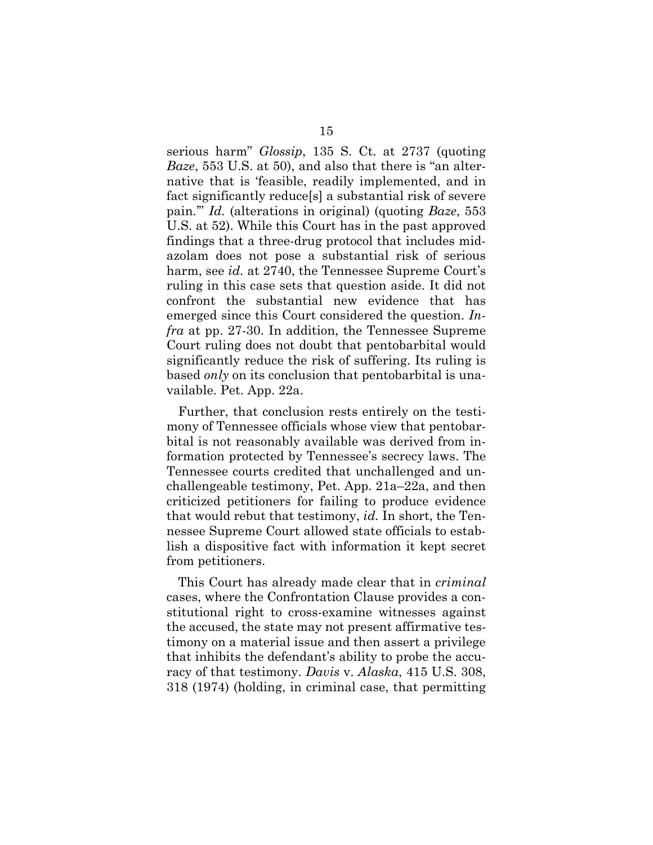serious harm" *Glossip*, 135 S. Ct. at 2737 (quoting *Baze*, 553 U.S. at 50), and also that there is "an alternative that is 'feasible, readily implemented, and in fact significantly reduce[s] a substantial risk of severe pain.'" *Id.* (alterations in original) (quoting *Baze*, 553 U.S. at 52). While this Court has in the past approved findings that a three-drug protocol that includes midazolam does not pose a substantial risk of serious harm, see *id.* at 2740, the Tennessee Supreme Court's ruling in this case sets that question aside. It did not confront the substantial new evidence that has emerged since this Court considered the question. *Infra* at pp. 27-30. In addition, the Tennessee Supreme Court ruling does not doubt that pentobarbital would significantly reduce the risk of suffering. Its ruling is based *only* on its conclusion that pentobarbital is unavailable. Pet. App. 22a.

Further, that conclusion rests entirely on the testimony of Tennessee officials whose view that pentobarbital is not reasonably available was derived from information protected by Tennessee's secrecy laws. The Tennessee courts credited that unchallenged and unchallengeable testimony, Pet. App. 21a–22a, and then criticized petitioners for failing to produce evidence that would rebut that testimony, *id.* In short, the Tennessee Supreme Court allowed state officials to establish a dispositive fact with information it kept secret from petitioners.

This Court has already made clear that in *criminal*  cases, where the Confrontation Clause provides a constitutional right to cross-examine witnesses against the accused, the state may not present affirmative testimony on a material issue and then assert a privilege that inhibits the defendant's ability to probe the accuracy of that testimony. *Davis* v. *Alaska*, 415 U.S. 308, 318 (1974) (holding, in criminal case, that permitting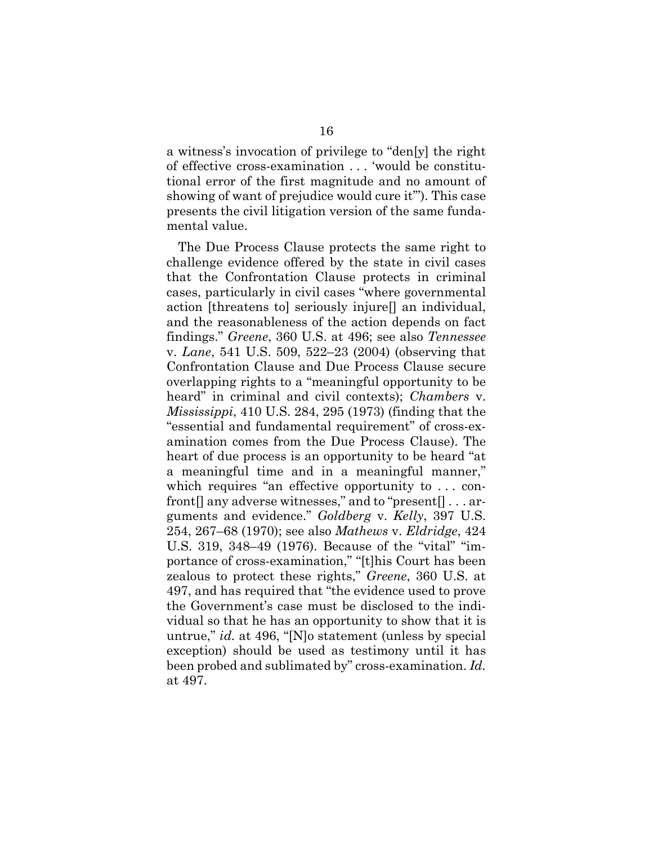a witness's invocation of privilege to "den[y] the right of effective cross-examination . . . 'would be constitutional error of the first magnitude and no amount of showing of want of prejudice would cure it'"). This case presents the civil litigation version of the same fundamental value.

The Due Process Clause protects the same right to challenge evidence offered by the state in civil cases that the Confrontation Clause protects in criminal cases, particularly in civil cases "where governmental action [threatens to] seriously injure[] an individual, and the reasonableness of the action depends on fact findings." *Greene*, 360 U.S. at 496; see also *Tennessee*  v. *Lane*, 541 U.S. 509, 522–23 (2004) (observing that Confrontation Clause and Due Process Clause secure overlapping rights to a "meaningful opportunity to be heard" in criminal and civil contexts); *Chambers* v. *Mississippi*, 410 U.S. 284, 295 (1973) (finding that the "essential and fundamental requirement" of cross-examination comes from the Due Process Clause). The heart of due process is an opportunity to be heard "at a meaningful time and in a meaningful manner," which requires "an effective opportunity to . . . confront<sup>[]</sup> any adverse witnesses," and to "present<sup>[]</sup> . . . arguments and evidence." *Goldberg* v. *Kelly*, 397 U.S. 254, 267–68 (1970); see also *Mathews* v. *Eldridge*, 424 U.S. 319, 348–49 (1976). Because of the "vital" "importance of cross-examination," "[t]his Court has been zealous to protect these rights," *Greene*, 360 U.S. at 497, and has required that "the evidence used to prove the Government's case must be disclosed to the individual so that he has an opportunity to show that it is untrue," *id.* at 496, "[N]o statement (unless by special exception) should be used as testimony until it has been probed and sublimated by" cross-examination. *Id.* at 497.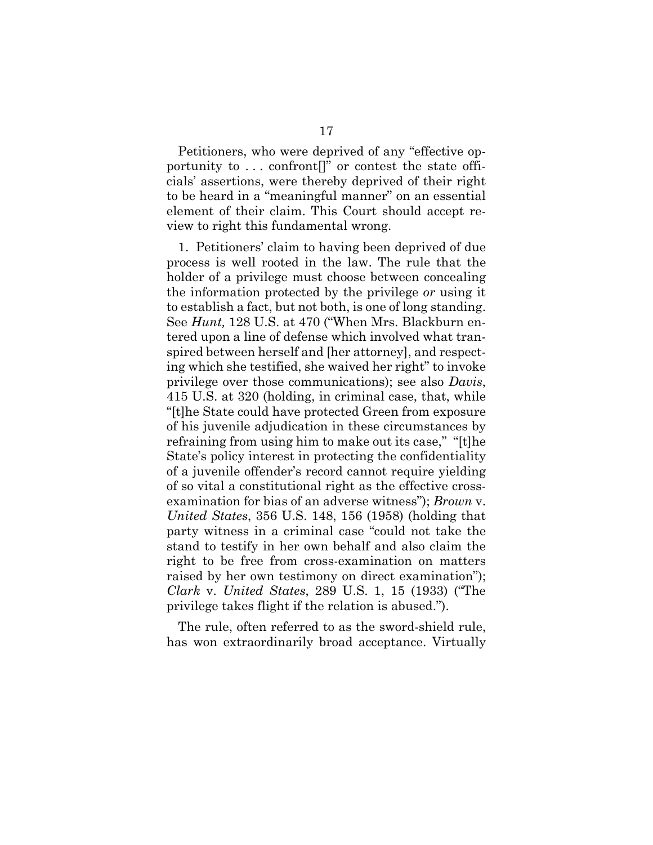Petitioners, who were deprived of any "effective opportunity to  $\dots$  confront  $[]$ " or contest the state officials' assertions, were thereby deprived of their right to be heard in a "meaningful manner" on an essential element of their claim. This Court should accept review to right this fundamental wrong.

1. Petitioners' claim to having been deprived of due process is well rooted in the law. The rule that the holder of a privilege must choose between concealing the information protected by the privilege *or* using it to establish a fact, but not both, is one of long standing. See *Hunt,* 128 U.S. at 470 ("When Mrs. Blackburn entered upon a line of defense which involved what transpired between herself and [her attorney], and respecting which she testified, she waived her right" to invoke privilege over those communications); see also *Davis*, 415 U.S. at 320 (holding, in criminal case, that, while "[t]he State could have protected Green from exposure of his juvenile adjudication in these circumstances by refraining from using him to make out its case," "[t]he State's policy interest in protecting the confidentiality of a juvenile offender's record cannot require yielding of so vital a constitutional right as the effective crossexamination for bias of an adverse witness"); *Brown* v. *United States*, 356 U.S. 148, 156 (1958) (holding that party witness in a criminal case "could not take the stand to testify in her own behalf and also claim the right to be free from cross-examination on matters raised by her own testimony on direct examination"); *Clark* v. *United States*, 289 U.S. 1, 15 (1933) ("The privilege takes flight if the relation is abused.").

The rule, often referred to as the sword-shield rule, has won extraordinarily broad acceptance. Virtually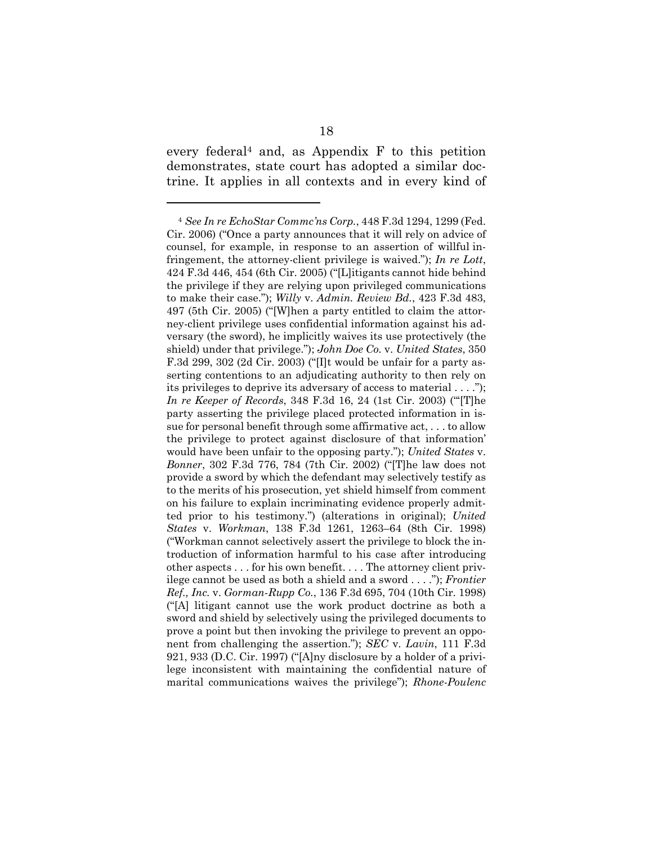every federal<sup>4</sup> and, as Appendix  $F$  to this petition demonstrates, state court has adopted a similar doctrine. It applies in all contexts and in every kind of

l

<sup>4</sup> *See In re EchoStar Commc'ns Corp.*, 448 F.3d 1294, 1299 (Fed. Cir. 2006) ("Once a party announces that it will rely on advice of counsel, for example, in response to an assertion of willful infringement, the attorney-client privilege is waived."); *In re Lott*, 424 F.3d 446, 454 (6th Cir. 2005) ("[L]itigants cannot hide behind the privilege if they are relying upon privileged communications to make their case."); *Willy* v. *Admin. Review Bd.*, 423 F.3d 483, 497 (5th Cir. 2005) ("[W]hen a party entitled to claim the attorney-client privilege uses confidential information against his adversary (the sword), he implicitly waives its use protectively (the shield) under that privilege."); *John Doe Co.* v. *United States*, 350 F.3d 299, 302 (2d Cir. 2003) ("[I]t would be unfair for a party asserting contentions to an adjudicating authority to then rely on its privileges to deprive its adversary of access to material . . . ."); *In re Keeper of Records*, 348 F.3d 16, 24 (1st Cir. 2003) ("'[T]he party asserting the privilege placed protected information in issue for personal benefit through some affirmative act, . . . to allow the privilege to protect against disclosure of that information' would have been unfair to the opposing party."); *United States* v. *Bonner*, 302 F.3d 776, 784 (7th Cir. 2002) ("[T]he law does not provide a sword by which the defendant may selectively testify as to the merits of his prosecution, yet shield himself from comment on his failure to explain incriminating evidence properly admitted prior to his testimony.") (alterations in original); *United States* v. *Workman*, 138 F.3d 1261, 1263–64 (8th Cir. 1998) ("Workman cannot selectively assert the privilege to block the introduction of information harmful to his case after introducing other aspects . . . for his own benefit. . . . The attorney client privilege cannot be used as both a shield and a sword . . . ."); *Frontier Ref., Inc.* v. *Gorman-Rupp Co.*, 136 F.3d 695, 704 (10th Cir. 1998) ("[A] litigant cannot use the work product doctrine as both a sword and shield by selectively using the privileged documents to prove a point but then invoking the privilege to prevent an opponent from challenging the assertion."); *SEC* v. *Lavin*, 111 F.3d 921, 933 (D.C. Cir. 1997) ("[A]ny disclosure by a holder of a privilege inconsistent with maintaining the confidential nature of marital communications waives the privilege"); *Rhone-Poulenc*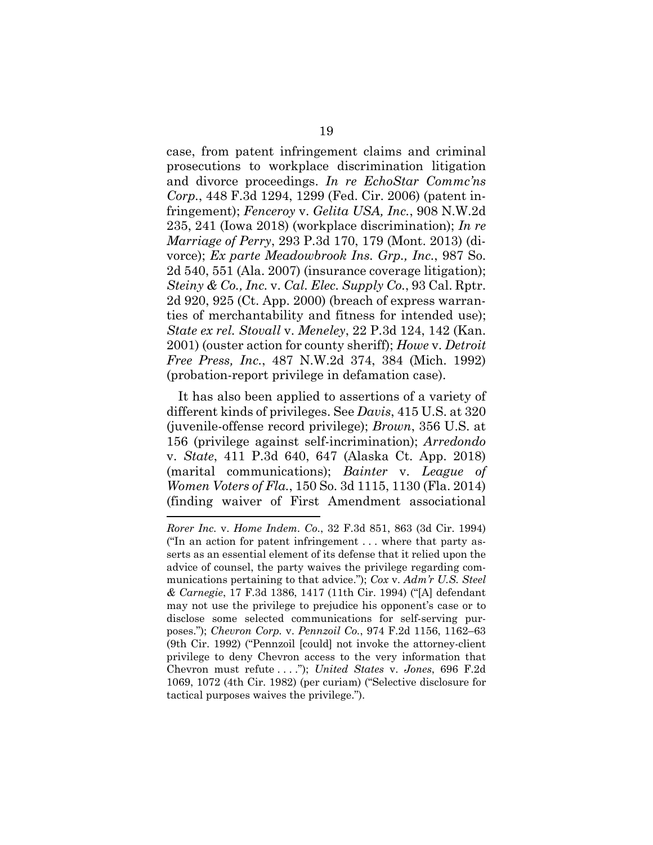case, from patent infringement claims and criminal prosecutions to workplace discrimination litigation and divorce proceedings. *In re EchoStar Commc'ns Corp.*, 448 F.3d 1294, 1299 (Fed. Cir. 2006) (patent infringement); *Fenceroy* v. *Gelita USA, Inc.*, 908 N.W.2d 235, 241 (Iowa 2018) (workplace discrimination); *In re Marriage of Perry*, 293 P.3d 170, 179 (Mont. 2013) (divorce); *Ex parte Meadowbrook Ins. Grp., Inc.*, 987 So. 2d 540, 551 (Ala. 2007) (insurance coverage litigation); *Steiny & Co., Inc.* v. *Cal. Elec. Supply Co.*, 93 Cal. Rptr. 2d 920, 925 (Ct. App. 2000) (breach of express warranties of merchantability and fitness for intended use); *State ex rel. Stovall* v. *Meneley*, 22 P.3d 124, 142 (Kan. 2001) (ouster action for county sheriff); *Howe* v. *Detroit Free Press, Inc.*, 487 N.W.2d 374, 384 (Mich. 1992) (probation-report privilege in defamation case).

It has also been applied to assertions of a variety of different kinds of privileges. See *Davis*, 415 U.S. at 320 (juvenile-offense record privilege); *Brown*, 356 U.S. at 156 (privilege against self-incrimination); *Arredondo*  v. *State*, 411 P.3d 640, 647 (Alaska Ct. App. 2018) (marital communications); *Bainter* v. *League of Women Voters of Fla.*, 150 So. 3d 1115, 1130 (Fla. 2014) (finding waiver of First Amendment associational

l

*Rorer Inc.* v. *Home Indem. Co.*, 32 F.3d 851, 863 (3d Cir. 1994) ("In an action for patent infringement . . . where that party asserts as an essential element of its defense that it relied upon the advice of counsel, the party waives the privilege regarding communications pertaining to that advice."); *Cox* v. *Adm'r U.S. Steel & Carnegie*, 17 F.3d 1386, 1417 (11th Cir. 1994) ("[A] defendant may not use the privilege to prejudice his opponent's case or to disclose some selected communications for self-serving purposes."); *Chevron Corp.* v. *Pennzoil Co.*, 974 F.2d 1156, 1162–63 (9th Cir. 1992) ("Pennzoil [could] not invoke the attorney-client privilege to deny Chevron access to the very information that Chevron must refute . . . ."); *United States* v. *Jones*, 696 F.2d 1069, 1072 (4th Cir. 1982) (per curiam) ("Selective disclosure for tactical purposes waives the privilege.").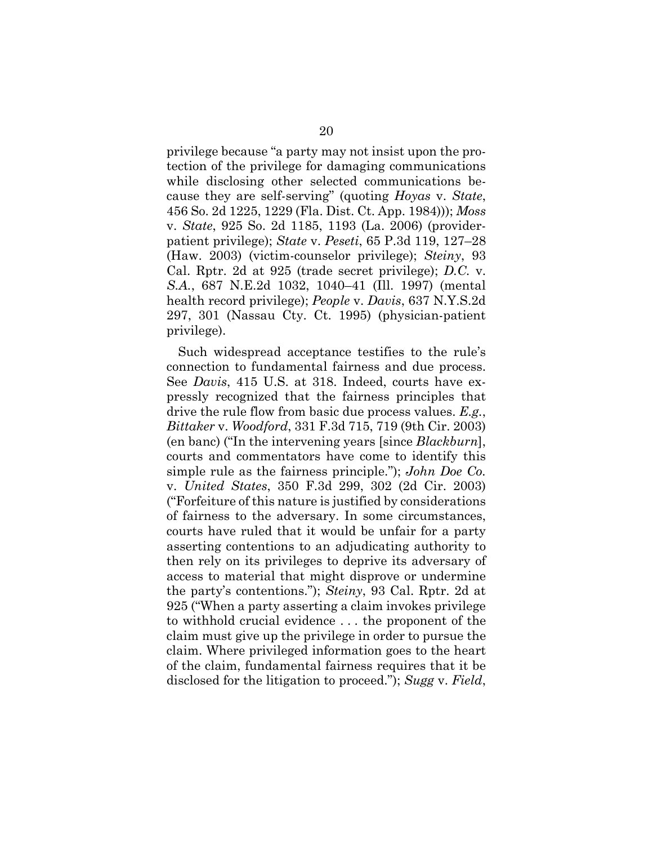privilege because "a party may not insist upon the protection of the privilege for damaging communications while disclosing other selected communications because they are self-serving" (quoting *Hoyas* v. *State*, 456 So. 2d 1225, 1229 (Fla. Dist. Ct. App. 1984))); *Moss*  v. *State*, 925 So. 2d 1185, 1193 (La. 2006) (providerpatient privilege); *State* v. *Peseti*, 65 P.3d 119, 127–28 (Haw. 2003) (victim-counselor privilege); *Steiny*, 93 Cal. Rptr. 2d at 925 (trade secret privilege); *D.C.* v. *S.A.*, 687 N.E.2d 1032, 1040–41 (Ill. 1997) (mental health record privilege); *People* v. *Davis*, 637 N.Y.S.2d 297, 301 (Nassau Cty. Ct. 1995) (physician-patient privilege).

Such widespread acceptance testifies to the rule's connection to fundamental fairness and due process. See *Davis*, 415 U.S. at 318. Indeed, courts have expressly recognized that the fairness principles that drive the rule flow from basic due process values. *E.g.*, *Bittaker* v. *Woodford*, 331 F.3d 715, 719 (9th Cir. 2003) (en banc) ("In the intervening years [since *Blackburn*], courts and commentators have come to identify this simple rule as the fairness principle."); *John Doe Co.*  v. *United States*, 350 F.3d 299, 302 (2d Cir. 2003) ("Forfeiture of this nature is justified by considerations of fairness to the adversary. In some circumstances, courts have ruled that it would be unfair for a party asserting contentions to an adjudicating authority to then rely on its privileges to deprive its adversary of access to material that might disprove or undermine the party's contentions."); *Steiny*, 93 Cal. Rptr. 2d at 925 ("When a party asserting a claim invokes privilege to withhold crucial evidence . . . the proponent of the claim must give up the privilege in order to pursue the claim. Where privileged information goes to the heart of the claim, fundamental fairness requires that it be disclosed for the litigation to proceed."); *Sugg* v. *Field*,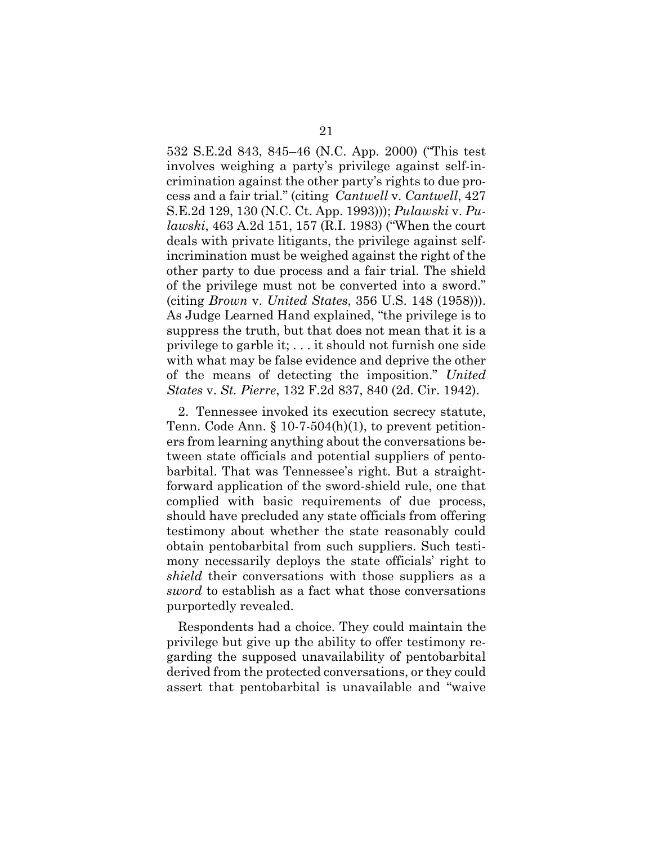532 S.E.2d 843, 845–46 (N.C. App. 2000) ("This test involves weighing a party's privilege against self-incrimination against the other party's rights to due process and a fair trial." (citing *Cantwell* v. *Cantwell*, 427 S.E.2d 129, 130 (N.C. Ct. App. 1993))); *Pulawski* v. *Pulawski*, 463 A.2d 151, 157 (R.I. 1983) ("When the court deals with private litigants, the privilege against selfincrimination must be weighed against the right of the other party to due process and a fair trial. The shield of the privilege must not be converted into a sword." (citing *Brown* v. *United States*, 356 U.S. 148 (1958))). As Judge Learned Hand explained, "the privilege is to suppress the truth, but that does not mean that it is a privilege to garble it; . . . it should not furnish one side with what may be false evidence and deprive the other of the means of detecting the imposition." *United States* v. *St. Pierre*, 132 F.2d 837, 840 (2d. Cir. 1942).

2. Tennessee invoked its execution secrecy statute, Tenn. Code Ann.  $\S 10-7-504(h)(1)$ , to prevent petitioners from learning anything about the conversations between state officials and potential suppliers of pentobarbital. That was Tennessee's right. But a straightforward application of the sword-shield rule, one that complied with basic requirements of due process, should have precluded any state officials from offering testimony about whether the state reasonably could obtain pentobarbital from such suppliers. Such testimony necessarily deploys the state officials' right to *shield* their conversations with those suppliers as a *sword* to establish as a fact what those conversations purportedly revealed.

Respondents had a choice. They could maintain the privilege but give up the ability to offer testimony regarding the supposed unavailability of pentobarbital derived from the protected conversations, or they could assert that pentobarbital is unavailable and "waive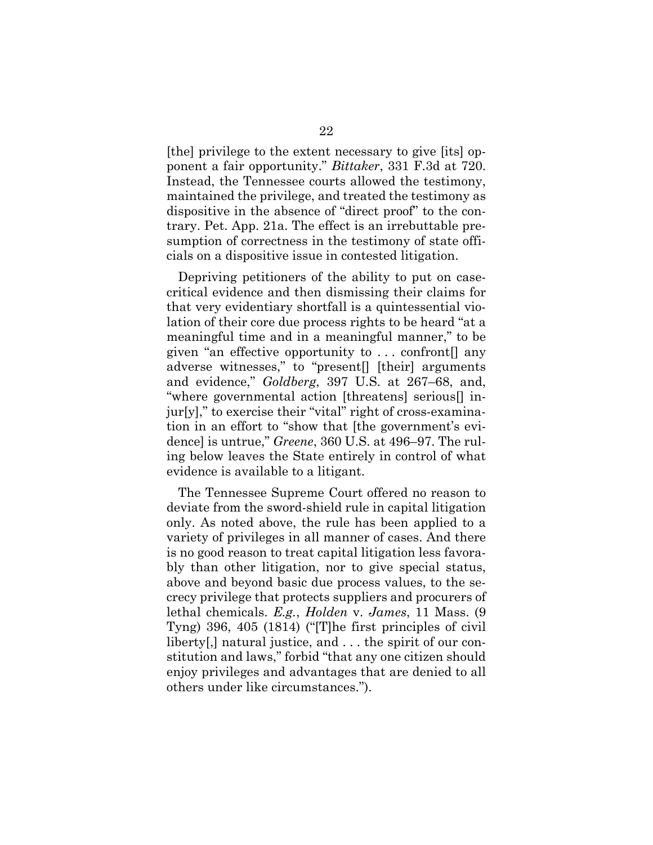[the] privilege to the extent necessary to give [its] opponent a fair opportunity." *Bittaker*, 331 F.3d at 720. Instead, the Tennessee courts allowed the testimony, maintained the privilege, and treated the testimony as dispositive in the absence of "direct proof" to the contrary. Pet. App. 21a. The effect is an irrebuttable presumption of correctness in the testimony of state officials on a dispositive issue in contested litigation.

Depriving petitioners of the ability to put on casecritical evidence and then dismissing their claims for that very evidentiary shortfall is a quintessential violation of their core due process rights to be heard "at a meaningful time and in a meaningful manner," to be given "an effective opportunity to . . . confront[] any adverse witnesses," to "present[] [their] arguments and evidence," *Goldberg*, 397 U.S. at 267–68, and, "where governmental action [threatens] serious[] injur[y]," to exercise their "vital" right of cross-examination in an effort to "show that [the government's evidence] is untrue," *Greene*, 360 U.S. at 496–97. The ruling below leaves the State entirely in control of what evidence is available to a litigant.

The Tennessee Supreme Court offered no reason to deviate from the sword-shield rule in capital litigation only. As noted above, the rule has been applied to a variety of privileges in all manner of cases. And there is no good reason to treat capital litigation less favorably than other litigation, nor to give special status, above and beyond basic due process values, to the secrecy privilege that protects suppliers and procurers of lethal chemicals. *E.g.*, *Holden* v. *James*, 11 Mass. (9 Tyng) 396, 405 (1814) ("[T]he first principles of civil liberty[,] natural justice, and . . . the spirit of our constitution and laws," forbid "that any one citizen should enjoy privileges and advantages that are denied to all others under like circumstances.").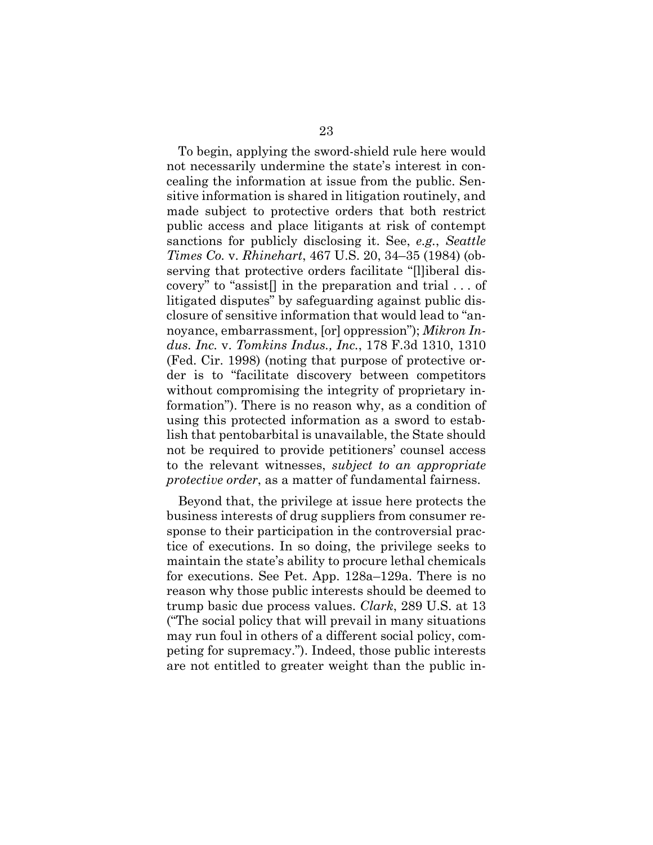To begin, applying the sword-shield rule here would not necessarily undermine the state's interest in concealing the information at issue from the public. Sensitive information is shared in litigation routinely, and made subject to protective orders that both restrict public access and place litigants at risk of contempt sanctions for publicly disclosing it. See, *e.g.*, *Seattle Times Co.* v. *Rhinehart*, 467 U.S. 20, 34–35 (1984) (observing that protective orders facilitate "[l]iberal discovery" to "assist[] in the preparation and trial . . . of litigated disputes" by safeguarding against public disclosure of sensitive information that would lead to "annoyance, embarrassment, [or] oppression"); *Mikron Indus. Inc.* v. *Tomkins Indus., Inc.*, 178 F.3d 1310, 1310 (Fed. Cir. 1998) (noting that purpose of protective order is to "facilitate discovery between competitors without compromising the integrity of proprietary information"). There is no reason why, as a condition of using this protected information as a sword to establish that pentobarbital is unavailable, the State should not be required to provide petitioners' counsel access to the relevant witnesses, *subject to an appropriate protective order*, as a matter of fundamental fairness.

Beyond that, the privilege at issue here protects the business interests of drug suppliers from consumer response to their participation in the controversial practice of executions. In so doing, the privilege seeks to maintain the state's ability to procure lethal chemicals for executions. See Pet. App. 128a–129a. There is no reason why those public interests should be deemed to trump basic due process values. *Clark*, 289 U.S. at 13 ("The social policy that will prevail in many situations may run foul in others of a different social policy, competing for supremacy."). Indeed, those public interests are not entitled to greater weight than the public in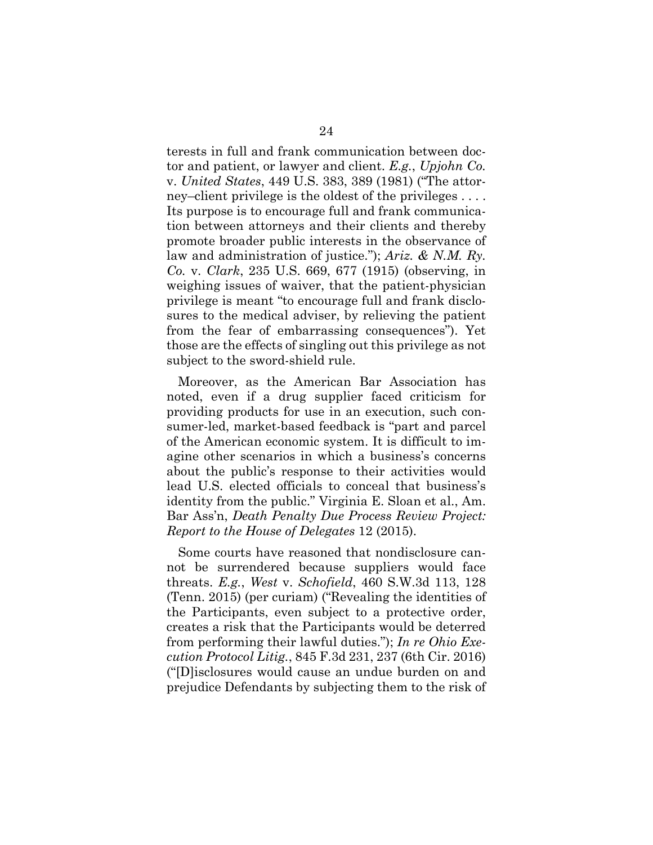terests in full and frank communication between doctor and patient, or lawyer and client. *E.g.*, *Upjohn Co.*  v. *United States*, 449 U.S. 383, 389 (1981) ("The attorney–client privilege is the oldest of the privileges . . . . Its purpose is to encourage full and frank communication between attorneys and their clients and thereby promote broader public interests in the observance of law and administration of justice."); *Ariz. & N.M. Ry. Co.* v. *Clark*, 235 U.S. 669, 677 (1915) (observing, in weighing issues of waiver, that the patient-physician privilege is meant "to encourage full and frank disclosures to the medical adviser, by relieving the patient from the fear of embarrassing consequences"). Yet those are the effects of singling out this privilege as not subject to the sword-shield rule.

Moreover, as the American Bar Association has noted, even if a drug supplier faced criticism for providing products for use in an execution, such consumer-led, market-based feedback is "part and parcel of the American economic system. It is difficult to imagine other scenarios in which a business's concerns about the public's response to their activities would lead U.S. elected officials to conceal that business's identity from the public." Virginia E. Sloan et al., Am. Bar Ass'n, *Death Penalty Due Process Review Project: Report to the House of Delegates* 12 (2015).

Some courts have reasoned that nondisclosure cannot be surrendered because suppliers would face threats. *E.g.*, *West* v. *Schofield*, 460 S.W.3d 113, 128 (Tenn. 2015) (per curiam) ("Revealing the identities of the Participants, even subject to a protective order, creates a risk that the Participants would be deterred from performing their lawful duties."); *In re Ohio Execution Protocol Litig.*, 845 F.3d 231, 237 (6th Cir. 2016) ("[D]isclosures would cause an undue burden on and prejudice Defendants by subjecting them to the risk of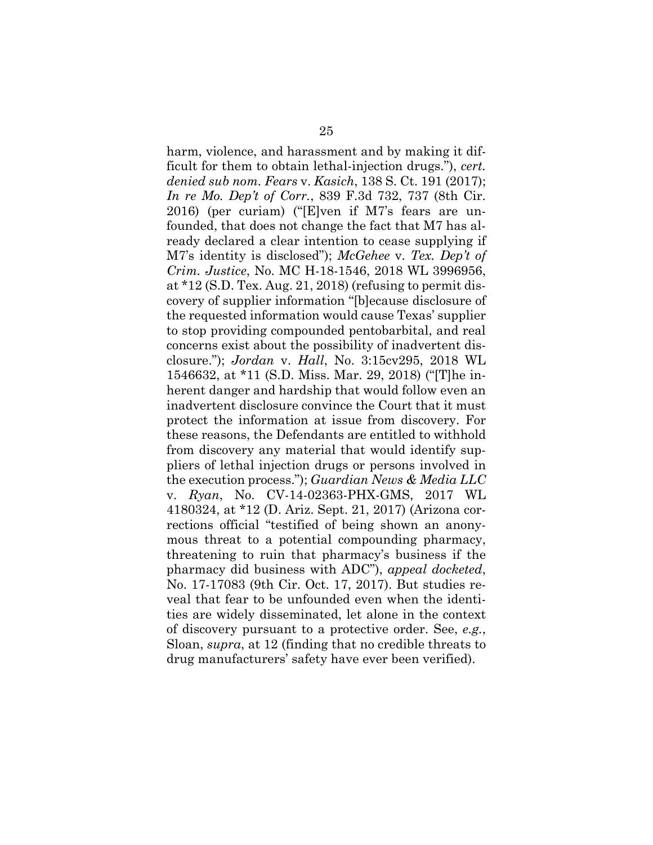harm, violence, and harassment and by making it difficult for them to obtain lethal-injection drugs."), *cert. denied sub nom. Fears* v. *Kasich*, 138 S. Ct. 191 (2017); *In re Mo. Dep't of Corr.*, 839 F.3d 732, 737 (8th Cir. 2016) (per curiam) ("[E]ven if M7's fears are unfounded, that does not change the fact that M7 has already declared a clear intention to cease supplying if M7's identity is disclosed"); *McGehee* v. *Tex. Dep't of Crim. Justice*, No. MC H-18-1546, 2018 WL 3996956, at \*12 (S.D. Tex. Aug. 21, 2018) (refusing to permit discovery of supplier information "[b]ecause disclosure of the requested information would cause Texas' supplier to stop providing compounded pentobarbital, and real concerns exist about the possibility of inadvertent disclosure."); *Jordan* v. *Hall*, No. 3:15cv295, 2018 WL 1546632, at \*11 (S.D. Miss. Mar. 29, 2018) ("[T]he inherent danger and hardship that would follow even an inadvertent disclosure convince the Court that it must protect the information at issue from discovery. For these reasons, the Defendants are entitled to withhold from discovery any material that would identify suppliers of lethal injection drugs or persons involved in the execution process."); *Guardian News & Media LLC* v. *Ryan*, No. CV-14-02363-PHX-GMS, 2017 WL 4180324, at \*12 (D. Ariz. Sept. 21, 2017) (Arizona corrections official "testified of being shown an anonymous threat to a potential compounding pharmacy, threatening to ruin that pharmacy's business if the pharmacy did business with ADC"), *appeal docketed*, No. 17-17083 (9th Cir. Oct. 17, 2017). But studies reveal that fear to be unfounded even when the identities are widely disseminated, let alone in the context of discovery pursuant to a protective order. See, *e.g.*, Sloan, *supra*, at 12 (finding that no credible threats to drug manufacturers' safety have ever been verified).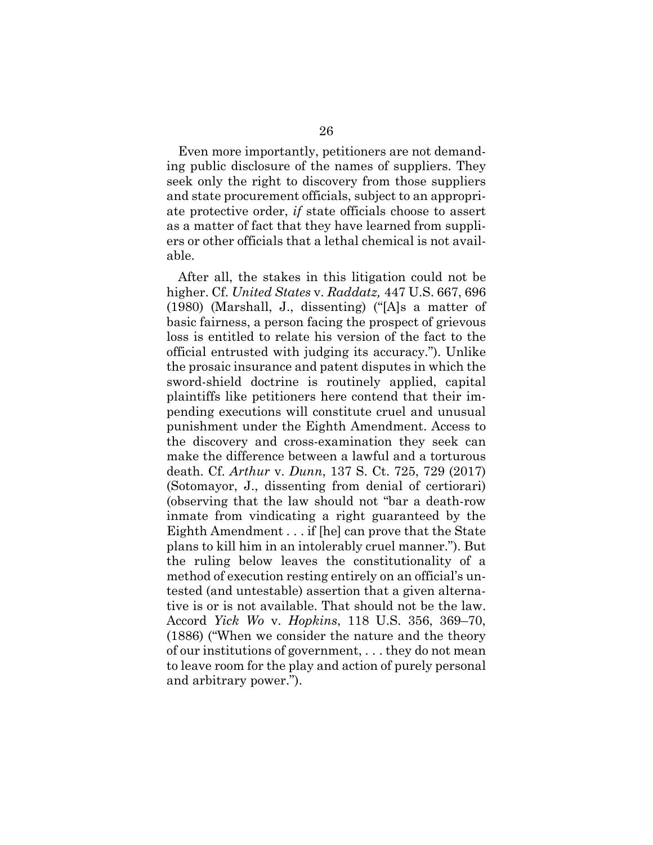Even more importantly, petitioners are not demanding public disclosure of the names of suppliers. They seek only the right to discovery from those suppliers and state procurement officials, subject to an appropriate protective order, *if* state officials choose to assert as a matter of fact that they have learned from suppliers or other officials that a lethal chemical is not available.

After all, the stakes in this litigation could not be higher. Cf. *United States* v. *Raddatz,* 447 U.S. 667, 696 (1980) (Marshall, J., dissenting) ("[A]s a matter of basic fairness, a person facing the prospect of grievous loss is entitled to relate his version of the fact to the official entrusted with judging its accuracy."). Unlike the prosaic insurance and patent disputes in which the sword-shield doctrine is routinely applied, capital plaintiffs like petitioners here contend that their impending executions will constitute cruel and unusual punishment under the Eighth Amendment. Access to the discovery and cross-examination they seek can make the difference between a lawful and a torturous death. Cf. *Arthur* v. *Dunn*, 137 S. Ct. 725, 729 (2017) (Sotomayor, J., dissenting from denial of certiorari) (observing that the law should not "bar a death-row inmate from vindicating a right guaranteed by the Eighth Amendment . . . if [he] can prove that the State plans to kill him in an intolerably cruel manner."). But the ruling below leaves the constitutionality of a method of execution resting entirely on an official's untested (and untestable) assertion that a given alternative is or is not available. That should not be the law. Accord *Yick Wo* v. *Hopkins*, 118 U.S. 356, 369–70, (1886) ("When we consider the nature and the theory of our institutions of government, . . . they do not mean to leave room for the play and action of purely personal and arbitrary power.").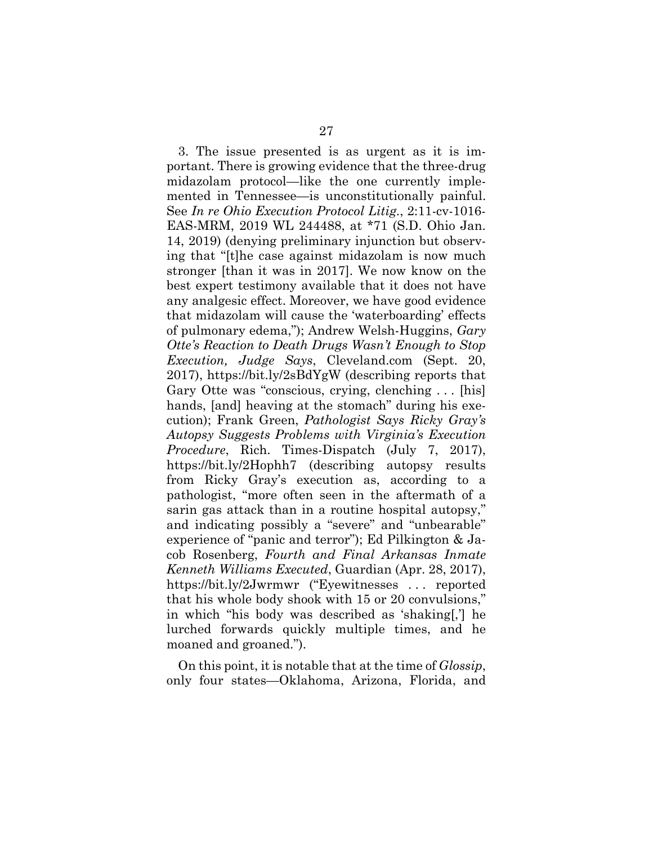3. The issue presented is as urgent as it is important. There is growing evidence that the three-drug midazolam protocol—like the one currently implemented in Tennessee—is unconstitutionally painful. See *In re Ohio Execution Protocol Litig.*, 2:11-cv-1016- EAS-MRM, 2019 WL 244488, at \*71 (S.D. Ohio Jan. 14, 2019) (denying preliminary injunction but observing that "[t]he case against midazolam is now much stronger [than it was in 2017]. We now know on the best expert testimony available that it does not have any analgesic effect. Moreover, we have good evidence that midazolam will cause the 'waterboarding' effects of pulmonary edema,"); Andrew Welsh-Huggins, *Gary Otte's Reaction to Death Drugs Wasn't Enough to Stop Execution, Judge Says*, Cleveland.com (Sept. 20, 2017), https://bit.ly/2sBdYgW (describing reports that Gary Otte was "conscious, crying, clenching . . . [his] hands, [and] heaving at the stomach" during his execution); Frank Green, *Pathologist Says Ricky Gray's Autopsy Suggests Problems with Virginia's Execution Procedure*, Rich. Times-Dispatch (July 7, 2017), https://bit.ly/2Hophh7 (describing autopsy results from Ricky Gray's execution as, according to a pathologist, "more often seen in the aftermath of a sarin gas attack than in a routine hospital autopsy," and indicating possibly a "severe" and "unbearable" experience of "panic and terror"); Ed Pilkington & Jacob Rosenberg, *Fourth and Final Arkansas Inmate Kenneth Williams Executed*, Guardian (Apr. 28, 2017), https://bit.ly/2Jwrmwr ("Eyewitnesses . . . reported that his whole body shook with 15 or 20 convulsions," in which "his body was described as 'shaking[,'] he lurched forwards quickly multiple times, and he moaned and groaned.").

On this point, it is notable that at the time of *Glossip*, only four states—Oklahoma, Arizona, Florida, and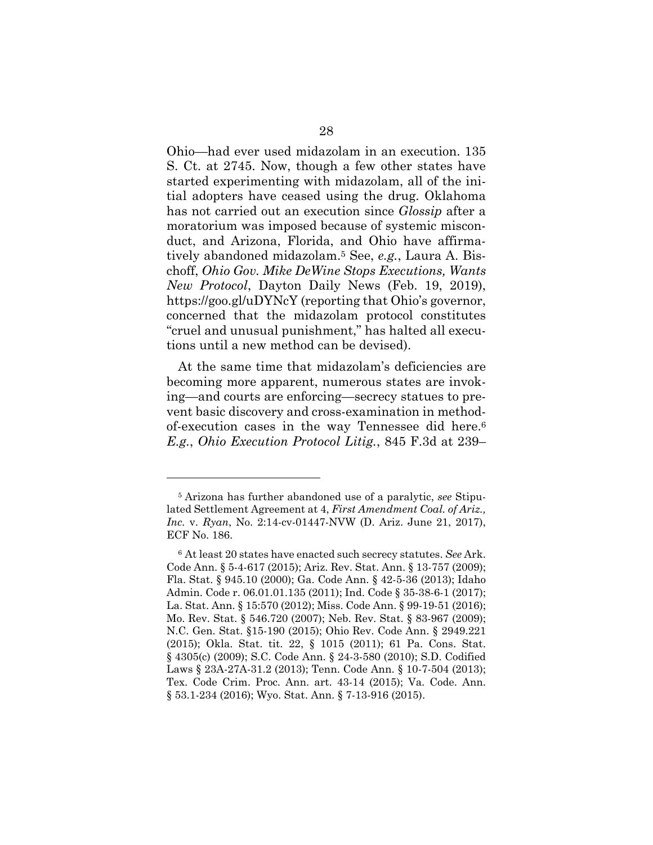Ohio—had ever used midazolam in an execution. 135 S. Ct. at 2745. Now, though a few other states have started experimenting with midazolam, all of the initial adopters have ceased using the drug. Oklahoma has not carried out an execution since *Glossip* after a moratorium was imposed because of systemic misconduct, and Arizona, Florida, and Ohio have affirmatively abandoned midazolam.5 See, *e.g.*, Laura A. Bischoff, *Ohio Gov. Mike DeWine Stops Executions, Wants New Protocol*, Dayton Daily News (Feb. 19, 2019), https://goo.gl/uDYNcY (reporting that Ohio's governor, concerned that the midazolam protocol constitutes "cruel and unusual punishment," has halted all executions until a new method can be devised).

At the same time that midazolam's deficiencies are becoming more apparent, numerous states are invoking—and courts are enforcing—secrecy statues to prevent basic discovery and cross-examination in methodof-execution cases in the way Tennessee did here.6 *E.g.*, *Ohio Execution Protocol Litig.*, 845 F.3d at 239–

l

<sup>5</sup> Arizona has further abandoned use of a paralytic, *see* Stipulated Settlement Agreement at 4, *First Amendment Coal. of Ariz., Inc.* v. *Ryan*, No. 2:14-cv-01447-NVW (D. Ariz. June 21, 2017), ECF No. 186.

<sup>6</sup> At least 20 states have enacted such secrecy statutes. *See* Ark. Code Ann. § 5-4-617 (2015); Ariz. Rev. Stat. Ann. § 13-757 (2009); Fla. Stat. § 945.10 (2000); Ga. Code Ann. § 42-5-36 (2013); Idaho Admin. Code r. 06.01.01.135 (2011); Ind. Code § 35-38-6-1 (2017); La. Stat. Ann. § 15:570 (2012); Miss. Code Ann. § 99-19-51 (2016); Mo. Rev. Stat. § 546.720 (2007); Neb. Rev. Stat. § 83-967 (2009); N.C. Gen. Stat. §15-190 (2015); Ohio Rev. Code Ann. § 2949.221 (2015); Okla. Stat. tit. 22, § 1015 (2011); 61 Pa. Cons. Stat. § 4305(c) (2009); S.C. Code Ann. § 24-3-580 (2010); S.D. Codified Laws § 23A-27A-31.2 (2013); Tenn. Code Ann. § 10-7-504 (2013); Tex. Code Crim. Proc. Ann. art. 43-14 (2015); Va. Code. Ann. § 53.1-234 (2016); Wyo. Stat. Ann. § 7-13-916 (2015).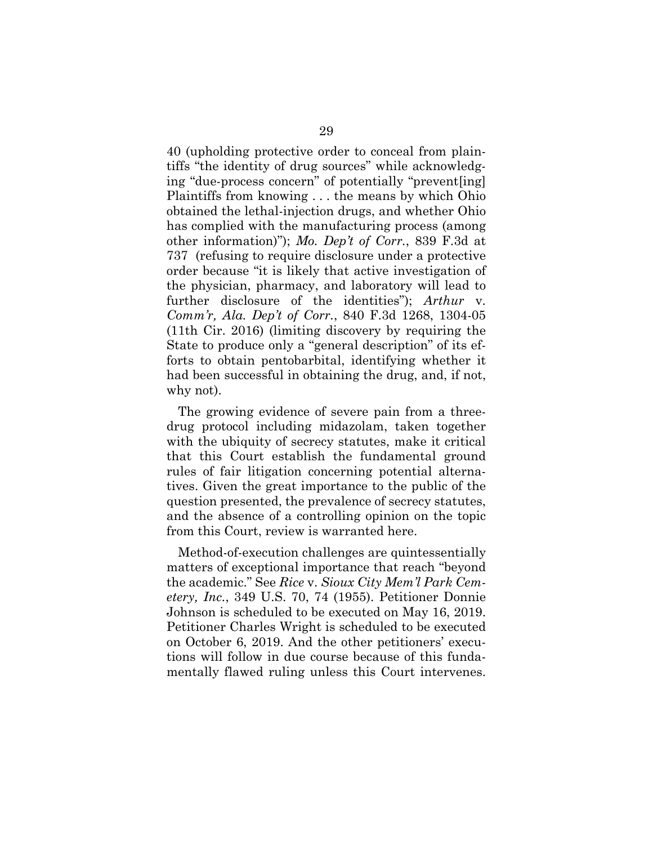40 (upholding protective order to conceal from plaintiffs "the identity of drug sources" while acknowledging "due-process concern" of potentially "prevent[ing] Plaintiffs from knowing . . . the means by which Ohio obtained the lethal-injection drugs, and whether Ohio has complied with the manufacturing process (among other information)"); *Mo. Dep't of Corr.*, 839 F.3d at 737 (refusing to require disclosure under a protective order because "it is likely that active investigation of the physician, pharmacy, and laboratory will lead to further disclosure of the identities"); *Arthur* v. *Comm'r, Ala. Dep't of Corr.*, 840 F.3d 1268, 1304-05 (11th Cir. 2016) (limiting discovery by requiring the State to produce only a "general description" of its efforts to obtain pentobarbital, identifying whether it had been successful in obtaining the drug, and, if not, why not).

The growing evidence of severe pain from a threedrug protocol including midazolam, taken together with the ubiquity of secrecy statutes, make it critical that this Court establish the fundamental ground rules of fair litigation concerning potential alternatives. Given the great importance to the public of the question presented, the prevalence of secrecy statutes, and the absence of a controlling opinion on the topic from this Court, review is warranted here.

Method-of-execution challenges are quintessentially matters of exceptional importance that reach "beyond the academic." See *Rice* v. *Sioux City Mem'l Park Cemetery, Inc.*, 349 U.S. 70, 74 (1955). Petitioner Donnie Johnson is scheduled to be executed on May 16, 2019. Petitioner Charles Wright is scheduled to be executed on October 6, 2019. And the other petitioners' executions will follow in due course because of this fundamentally flawed ruling unless this Court intervenes.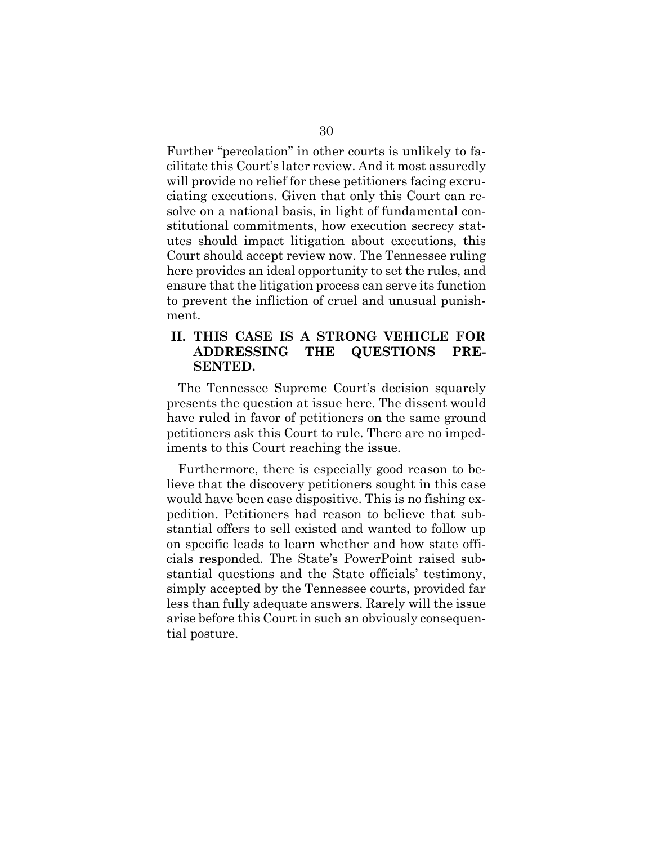Further "percolation" in other courts is unlikely to facilitate this Court's later review. And it most assuredly will provide no relief for these petitioners facing excruciating executions. Given that only this Court can resolve on a national basis, in light of fundamental constitutional commitments, how execution secrecy statutes should impact litigation about executions, this Court should accept review now. The Tennessee ruling here provides an ideal opportunity to set the rules, and ensure that the litigation process can serve its function to prevent the infliction of cruel and unusual punishment.

## **II. THIS CASE IS A STRONG VEHICLE FOR ADDRESSING THE QUESTIONS PRE-SENTED.**

The Tennessee Supreme Court's decision squarely presents the question at issue here. The dissent would have ruled in favor of petitioners on the same ground petitioners ask this Court to rule. There are no impediments to this Court reaching the issue.

Furthermore, there is especially good reason to believe that the discovery petitioners sought in this case would have been case dispositive. This is no fishing expedition. Petitioners had reason to believe that substantial offers to sell existed and wanted to follow up on specific leads to learn whether and how state officials responded. The State's PowerPoint raised substantial questions and the State officials' testimony, simply accepted by the Tennessee courts, provided far less than fully adequate answers. Rarely will the issue arise before this Court in such an obviously consequential posture.